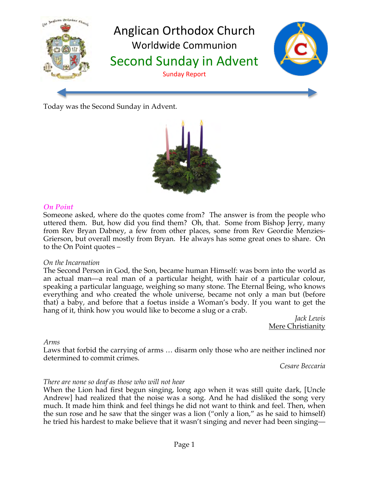

Today was the Second Sunday in Advent.



### *On Point*

Someone asked, where do the quotes come from? The answer is from the people who uttered them. But, how did you find them? Oh, that. Some from Bishop Jerry, many from Rev Bryan Dabney, a few from other places, some from Rev Geordie Menzies-Grierson, but overall mostly from Bryan. He always has some great ones to share. On to the On Point quotes –

### *On the Incarnation*

The Second Person in God, the Son, became human Himself: was born into the world as an actual man—a real man of a particular height, with hair of a particular colour, speaking a particular language, weighing so many stone. The Eternal Being, who knows everything and who created the whole universe, became not only a man but (before that) a baby, and before that a foetus inside a Woman's body. If you want to get the hang of it, think how you would like to become a slug or a crab.

*Jack Lewis* Mere Christianity

### *Arms*

Laws that forbid the carrying of arms … disarm only those who are neither inclined nor determined to commit crimes.

*Cesare Beccaria*

### *There are none so deaf as those who will not hear*

When the Lion had first begun singing, long ago when it was still quite dark, [Uncle Andrew] had realized that the noise was a song. And he had disliked the song very much. It made him think and feel things he did not want to think and feel. Then, when the sun rose and he saw that the singer was a lion ("only a lion," as he said to himself) he tried his hardest to make believe that it wasn't singing and never had been singing—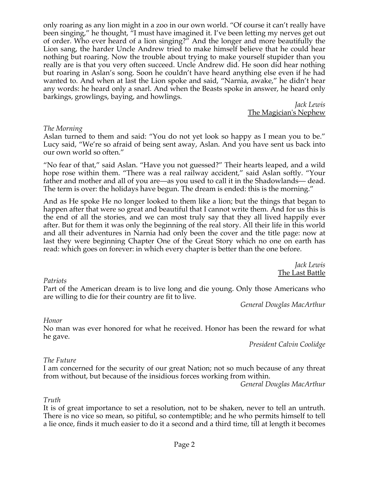only roaring as any lion might in a zoo in our own world. "Of course it can't really have been singing," he thought, "I must have imagined it. I've been letting my nerves get out of order. Who ever heard of a lion singing?" And the longer and more beautifully the Lion sang, the harder Uncle Andrew tried to make himself believe that he could hear nothing but roaring. Now the trouble about trying to make yourself stupider than you really are is that you very often succeed. Uncle Andrew did. He soon did hear nothing but roaring in Aslan's song. Soon he couldn't have heard anything else even if he had wanted to. And when at last the Lion spoke and said, "Narnia, awake," he didn't hear any words: he heard only a snarl. And when the Beasts spoke in answer, he heard only barkings, growlings, baying, and howlings.

*Jack Lewis* The Magician's Nephew

### *The Morning*

Aslan turned to them and said: "You do not yet look so happy as I mean you to be." Lucy said, "We're so afraid of being sent away, Aslan. And you have sent us back into our own world so often."

"No fear of that," said Aslan. "Have you not guessed?" Their hearts leaped, and a wild hope rose within them. "There was a real railway accident," said Aslan softly. "Your father and mother and all of you are—as you used to call it in the Shadowlands— dead. The term is over: the holidays have begun. The dream is ended: this is the morning."

And as He spoke He no longer looked to them like a lion; but the things that began to happen after that were so great and beautiful that I cannot write them. And for us this is the end of all the stories, and we can most truly say that they all lived happily ever after. But for them it was only the beginning of the real story. All their life in this world and all their adventures in Narnia had only been the cover and the title page: now at last they were beginning Chapter One of the Great Story which no one on earth has read: which goes on forever: in which every chapter is better than the one before.

> *Jack Lewis* The Last Battle

#### *Patriots*

Part of the American dream is to live long and die young. Only those Americans who are willing to die for their country are fit to live.

*General Douglas MacArthur*

### *Honor*

No man was ever honored for what he received. Honor has been the reward for what he gave.

*President Calvin Coolidge*

### *The Future*

I am concerned for the security of our great Nation; not so much because of any threat from without, but because of the insidious forces working from within.

*General Douglas MacArthur*

#### *Truth*

It is of great importance to set a resolution, not to be shaken, never to tell an untruth. There is no vice so mean, so pitiful, so contemptible; and he who permits himself to tell a lie once, finds it much easier to do it a second and a third time, till at length it becomes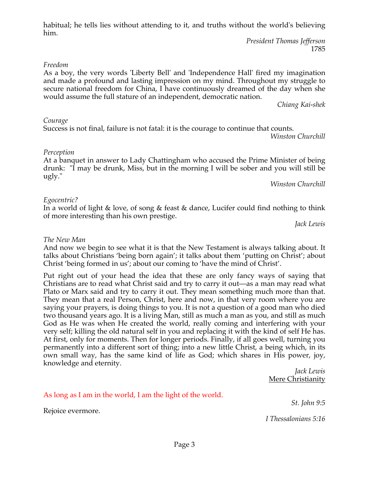habitual; he tells lies without attending to it, and truths without the world's believing him.

*President Thomas Jefferson* 1785

### *Freedom*

As a boy, the very words 'Liberty Bell' and 'Independence Hall' fired my imagination and made a profound and lasting impression on my mind. Throughout my struggle to secure national freedom for China, I have continuously dreamed of the day when she would assume the full stature of an independent, democratic nation.

*Chiang Kai-shek*

### *Courage*

Success is not final, failure is not fatal: it is the courage to continue that counts.

*Winston Churchill*

### *Perception*

At a banquet in answer to Lady Chattingham who accused the Prime Minister of being drunk: "I may be drunk, Miss, but in the morning I will be sober and you will still be ugly."

*Winston Churchill*

# *Egocentric?*

In a world of light & love, of song & feast & dance, Lucifer could find nothing to think of more interesting than his own prestige.

*Jack Lewis*

# *The New Man*

And now we begin to see what it is that the New Testament is always talking about. It talks about Christians 'being born again'; it talks about them 'putting on Christ'; about Christ 'being formed in us'; about our coming to 'have the mind of Christ'.

Put right out of your head the idea that these are only fancy ways of saying that Christians are to read what Christ said and try to carry it out—as a man may read what Plato or Marx said and try to carry it out. They mean something much more than that. They mean that a real Person, Christ, here and now, in that very room where you are saying your prayers, is doing things to you. It is not a question of a good man who died two thousand years ago. It is a living Man, still as much a man as you, and still as much God as He was when He created the world, really coming and interfering with your very self; killing the old natural self in you and replacing it with the kind of self He has. At first, only for moments. Then for longer periods. Finally, if all goes well, turning you permanently into a different sort of thing; into a new little Christ, a being which, in its own small way, has the same kind of life as God; which shares in His power, joy, knowledge and eternity.

*Jack Lewis* Mere Christianity

As long as I am in the world, I am the light of the world.

Rejoice evermore.

*St. John 9:5*

*I Thessalonians 5:16*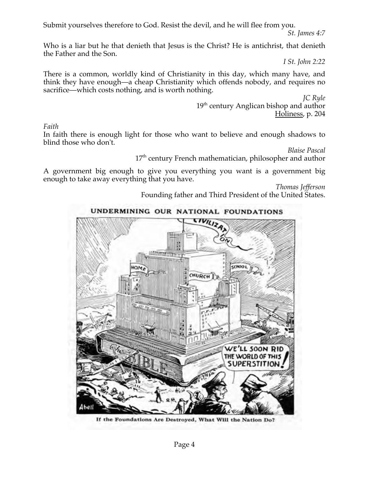Submit yourselves therefore to God. Resist the devil, and he will flee from you.

*St. James 4:7*

Who is a liar but he that denieth that Jesus is the Christ? He is antichrist, that denieth the Father and the Son.

*I St. John 2:22*

There is a common, worldly kind of Christianity in this day, which many have, and think they have enough—a cheap Christianity which offends nobody, and requires no sacrifice—which costs nothing, and is worth nothing.

> *JC Ryle* 19<sup>th</sup> century Anglican bishop and author Holiness, p. 204

*Faith*

In faith there is enough light for those who want to believe and enough shadows to blind those who don't.

> *Blaise Pascal* 17<sup>th</sup> century French mathematician, philosopher and author

A government big enough to give you everything you want is a government big enough to take away everything that you have.

*Thomas Jefferson*

Founding father and Third President of the United States.

# UNDERMINING OUR NATIONAL FOUNDATIONS



If the Foundations Are Destroyed, What Will the Nation Do?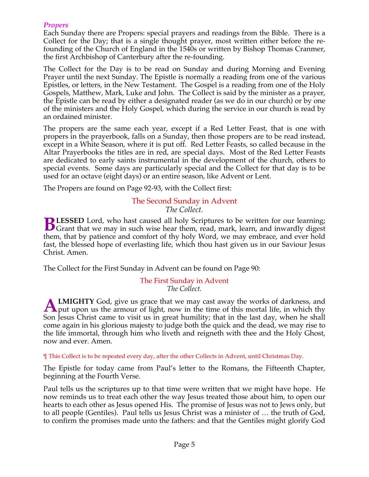### *Propers*

Each Sunday there are Propers: special prayers and readings from the Bible. There is a Collect for the Day; that is a single thought prayer, most written either before the refounding of the Church of England in the 1540s or written by Bishop Thomas Cranmer, the first Archbishop of Canterbury after the re-founding.

The Collect for the Day is to be read on Sunday and during Morning and Evening Prayer until the next Sunday. The Epistle is normally a reading from one of the various Epistles, or letters, in the New Testament. The Gospel is a reading from one of the Holy Gospels, Matthew, Mark, Luke and John. The Collect is said by the minister as a prayer, the Epistle can be read by either a designated reader (as we do in our church) or by one of the ministers and the Holy Gospel, which during the service in our church is read by an ordained minister.

The propers are the same each year, except if a Red Letter Feast, that is one with propers in the prayerbook, falls on a Sunday, then those propers are to be read instead, except in a White Season, where it is put off. Red Letter Feasts, so called because in the Altar Prayerbooks the titles are in red, are special days. Most of the Red Letter Feasts are dedicated to early saints instrumental in the development of the church, others to special events. Some days are particularly special and the Collect for that day is to be used for an octave (eight days) or an entire season, like Advent or Lent.

The Propers are found on Page 92-93, with the Collect first:

### The Second Sunday in Advent *The Collect.*

**LESSED** Lord, who hast caused all holy Scriptures to be written for our learning; **BLESSED** Lord, who hast caused all holy Scriptures to be written for our learning;<br>Grant that we may in such wise hear them, read, mark, learn, and inwardly digest them, that by patience and comfort of thy holy Word, we may embrace, and ever hold fast, the blessed hope of everlasting life, which thou hast given us in our Saviour Jesus Christ. Amen.

The Collect for the First Sunday in Advent can be found on Page 90:

#### The First Sunday in Advent *The Collect.*

**LMIGHTY** God, give us grace that we may cast away the works of darkness, and **A LMIGHTY** God, give us grace that we may cast away the works of darkness, and put upon us the armour of light, now in the time of this mortal life, in which thy Son Jesus Christ came to visit us in great humility; that in the last day, when he shall come again in his glorious majesty to judge both the quick and the dead, we may rise to the life immortal, through him who liveth and reigneth with thee and the Holy Ghost, now and ever. Amen.

¶ This Collect is to be repeated every day, after the other Collects in Advent, until Christmas Day.

The Epistle for today came from Paul's letter to the Romans, the Fifteenth Chapter, beginning at the Fourth Verse.

Paul tells us the scriptures up to that time were written that we might have hope. He now reminds us to treat each other the way Jesus treated those about him, to open our hearts to each other as Jesus opened His. The promise of Jesus was not to Jews only, but to all people (Gentiles). Paul tells us Jesus Christ was a minister of … the truth of God, to confirm the promises made unto the fathers: and that the Gentiles might glorify God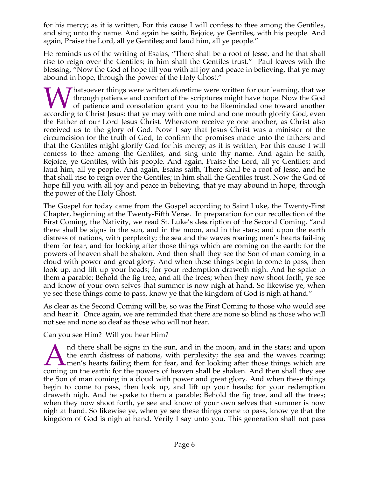for his mercy; as it is written, For this cause I will confess to thee among the Gentiles, and sing unto thy name. And again he saith, Rejoice, ye Gentiles, with his people. And again, Praise the Lord, all ye Gentiles; and laud him, all ye people."

He reminds us of the writing of Esaias, "There shall be a root of Jesse, and he that shall rise to reign over the Gentiles; in him shall the Gentiles trust." Paul leaves with the blessing, "Now the God of hope fill you with all joy and peace in believing, that ye may abound in hope, through the power of the Holy Ghost."

Thatsoever things were written aforetime were written for our learning, that we through patience and comfort of the scriptures might have hope. Now the God of patience and consolation grant you to be likeminded one toward another **A** hatsoever things were written aforetime were written for our learning, that we through patience and comfort of the scriptures might have hope. Now the God of patience and consolation grant you to be likeminded one towa the Father of our Lord Jesus Christ. Wherefore receive ye one another, as Christ also received us to the glory of God. Now I say that Jesus Christ was a minister of the circumcision for the truth of God, to confirm the promises made unto the fathers: and that the Gentiles might glorify God for his mercy; as it is written, For this cause I will confess to thee among the Gentiles, and sing unto thy name. And again he saith, Rejoice, ye Gentiles, with his people. And again, Praise the Lord, all ye Gentiles; and laud him, all ye people. And again, Esaias saith, There shall be a root of Jesse, and he that shall rise to reign over the Gentiles; in him shall the Gentiles trust. Now the God of hope fill you with all joy and peace in believing, that ye may abound in hope, through the power of the Holy Ghost.

The Gospel for today came from the Gospel according to Saint Luke, the Twenty-First Chapter, beginning at the Twenty-Fifth Verse. In preparation for our recollection of the First Coming, the Nativity, we read St. Luke's description of the Second Coming, "and there shall be signs in the sun, and in the moon, and in the stars; and upon the earth distress of nations, with perplexity; the sea and the waves roaring; men's hearts fail-ing them for fear, and for looking after those things which are coming on the earth: for the powers of heaven shall be shaken. And then shall they see the Son of man coming in a cloud with power and great glory. And when these things begin to come to pass, then look up, and lift up your heads; for your redemption draweth nigh. And he spake to them a parable; Behold the fig tree, and all the trees; when they now shoot forth, ye see and know of your own selves that summer is now nigh at hand. So likewise ye, when ye see these things come to pass, know ye that the kingdom of God is nigh at hand."

As clear as the Second Coming will be, so was the First Coming to those who would see and hear it. Once again, we are reminded that there are none so blind as those who will not see and none so deaf as those who will not hear.

Can you see Him? Will you hear Him?

nd there shall be signs in the sun, and in the moon, and in the stars; and upon the earth distress of nations, with perplexity; the sea and the waves roaring; **L** men's hearts failing them for fear, and for looking after those things which are In the earth distress of nations, with perplexity; the sea and the waves roaring; men's hearts failing them for fear, and for looking after those things which are coming on the earth: for the powers of heaven shall be shak the Son of man coming in a cloud with power and great glory. And when these things begin to come to pass, then look up, and lift up your heads; for your redemption draweth nigh. And he spake to them a parable; Behold the fig tree, and all the trees; when they now shoot forth, ye see and know of your own selves that summer is now nigh at hand. So likewise ye, when ye see these things come to pass, know ye that the kingdom of God is nigh at hand. Verily I say unto you, This generation shall not pass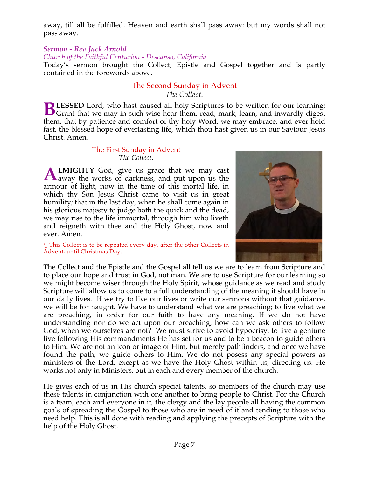away, till all be fulfilled. Heaven and earth shall pass away: but my words shall not pass away.

# *Sermon - Rev Jack Arnold*

*Church of the Faithful Centurion - Descanso, California*

Today's sermon brought the Collect, Epistle and Gospel together and is partly contained in the forewords above.

### The Second Sunday in Advent *The Collect.*

**LESSED** Lord, who hast caused all holy Scriptures to be written for our learning; **BLESSED** Lord, who hast caused all holy Scriptures to be written for our learning;<br>Grant that we may in such wise hear them, read, mark, learn, and inwardly digest them, that by patience and comfort of thy holy Word, we may embrace, and ever hold fast, the blessed hope of everlasting life, which thou hast given us in our Saviour Jesus Christ. Amen.

#### The First Sunday in Advent *The Collect.*

**LMIGHTY** God, give us grace that we may cast **ALMIGHTY** God, give us grace that we may cast away the works of darkness, and put upon us the list of this case of this case of the model of the case of the model of the case of the case of the case of the case of the cas armour of light, now in the time of this mortal life, in which thy Son Jesus Christ came to visit us in great humility; that in the last day, when he shall come again in his glorious majesty to judge both the quick and the dead, we may rise to the life immortal, through him who liveth and reigneth with thee and the Holy Ghost, now and ever. Amen.



¶ This Collect is to be repeated every day, after the other Collects in Advent, until Christmas Day.

The Collect and the Epistle and the Gospel all tell us we are to learn from Scripture and to place our hope and trust in God, not man. We are to use Scripture for our learning so we might become wiser through the Holy Spirit, whose guidance as we read and study Scripture will allow us to come to a full understanding of the meaning it should have in our daily lives. If we try to live our lives or write our sermons without that guidance, we will be for naught. We have to understand what we are preaching; to live what we are preaching, in order for our faith to have any meaning. If we do not have understanding nor do we act upon our preaching, how can we ask others to follow God, when we ourselves are not? We must strive to avoid hypocrisy, to live a geniune live following His commandments He has set for us and to be a beacon to guide others to Him. We are not an icon or image of Him, but merely pathfinders, and once we have found the path, we guide others to Him. We do not posess any special powers as ministers of the Lord, except as we have the Holy Ghost within us, directing us. He works not only in Ministers, but in each and every member of the church.

He gives each of us in His church special talents, so members of the church may use these talents in conjunction with one another to bring people to Christ. For the Church is a team, each and everyone in it, the clergy and the lay people all having the common goals of spreading the Gospel to those who are in need of it and tending to those who need help. This is all done with reading and applying the precepts of Scripture with the help of the Holy Ghost.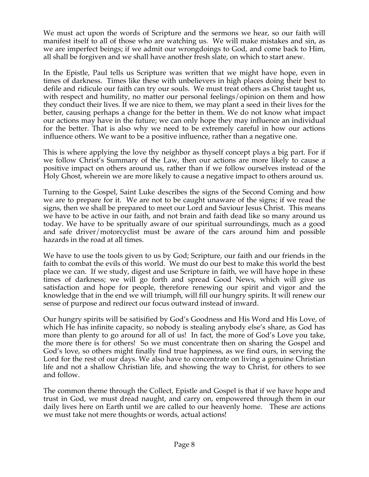We must act upon the words of Scripture and the sermons we hear, so our faith will manifest itself to all of those who are watching us. We will make mistakes and sin, as we are imperfect beings; if we admit our wrongdoings to God, and come back to Him, all shall be forgiven and we shall have another fresh slate, on which to start anew.

In the Epistle, Paul tells us Scripture was written that we might have hope, even in times of darkness. Times like these with unbelievers in high places doing their best to defile and ridicule our faith can try our souls. We must treat others as Christ taught us, with respect and humility, no matter our personal feelings/opinion on them and how they conduct their lives. If we are nice to them, we may plant a seed in their lives for the better, causing perhaps a change for the better in them. We do not know what impact our actions may have in the future; we can only hope they may influence an individual for the better. That is also why we need to be extremely careful in how our actions influence others. We want to be a positive influence, rather than a negative one.

This is where applying the love thy neighbor as thyself concept plays a big part. For if we follow Christ's Summary of the Law, then our actions are more likely to cause a positive impact on others around us, rather than if we follow ourselves instead of the Holy Ghost, wherein we are more likely to cause a negative impact to others around us.

Turning to the Gospel, Saint Luke describes the signs of the Second Coming and how we are to prepare for it. We are not to be caught unaware of the signs; if we read the signs, then we shall be prepared to meet our Lord and Saviour Jesus Christ. This means we have to be active in our faith, and not brain and faith dead like so many around us today. We have to be spritually aware of our spiritual surroundings, much as a good and safe driver/motorcyclist must be aware of the cars around him and possible hazards in the road at all times.

We have to use the tools given to us by God; Scripture, our faith and our friends in the faith to combat the evils of this world. We must do our best to make this world the best place we can. If we study, digest and use Scripture in faith, we will have hope in these times of darkness; we will go forth and spread Good News, which will give us satisfaction and hope for people, therefore renewing our spirit and vigor and the knowledge that in the end we will triumph, will fill our hungry spirits. It will renew our sense of purpose and redirect our focus outward instead of inward.

Our hungry spirits will be satisified by God's Goodness and His Word and His Love, of which He has infinite capacity, so nobody is stealing anybody else's share, as God has more than plenty to go around for all of us! In fact, the more of God's Love you take, the more there is for others! So we must concentrate then on sharing the Gospel and God's love, so others might finally find true happiness, as we find ours, in serving the Lord for the rest of our days. We also have to concentrate on living a genuine Christian life and not a shallow Christian life, and showing the way to Christ, for others to see and follow.

The common theme through the Collect, Epistle and Gospel is that if we have hope and trust in God, we must dread naught, and carry on, empowered through them in our daily lives here on Earth until we are called to our heavenly home. These are actions we must take not mere thoughts or words, actual actions!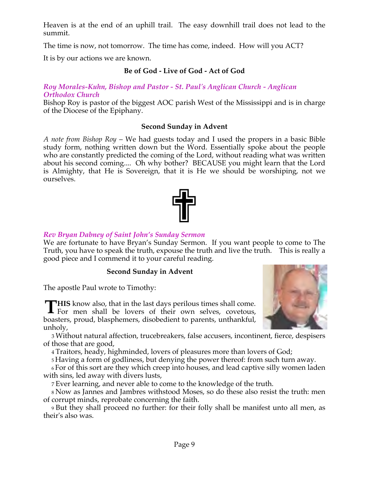Heaven is at the end of an uphill trail. The easy downhill trail does not lead to the summit.

The time is now, not tomorrow. The time has come, indeed. How will you ACT?

It is by our actions we are known.

# **Be of God - Live of God - Act of God**

# *Roy Morales-Kuhn, Bishop and Pastor - St. Paul's Anglican Church - Anglican Orthodox Church*

Bishop Roy is pastor of the biggest AOC parish West of the Mississippi and is in charge of the Diocese of the Epiphany.

# **Second Sunday in Advent**

*A note from Bishop Roy* – We had guests today and I used the propers in a basic Bible study form, nothing written down but the Word. Essentially spoke about the people who are constantly predicted the coming of the Lord, without reading what was written about his second coming.... Oh why bother? BECAUSE you might learn that the Lord is Almighty, that He is Sovereign, that it is He we should be worshiping, not we ourselves.



# *Rev Bryan Dabney of Saint John's Sunday Sermon*

We are fortunate to have Bryan's Sunday Sermon. If you want people to come to The Truth, you have to speak the truth, expouse the truth and live the truth. This is really a good piece and I commend it to your careful reading.

# **Second Sunday in Advent**

The apostle Paul wrote to Timothy:

**HIS** know also, that in the last days perilous times shall come. **THIS** know also, that in the last days perilous times shall come.<br>For men shall be lovers of their own selves, covetous, boasters, proud, blasphemers, disobedient to parents, unthankful, unholy,

3 Without natural affection, trucebreakers, false accusers, incontinent, fierce, despisers of those that are good,

4 Traitors, heady, highminded, lovers of pleasures more than lovers of God;

5 Having a form of godliness, but denying the power thereof: from such turn away.

6 For of this sort are they which creep into houses, and lead captive silly women laden with sins, led away with divers lusts,

7 Ever learning, and never able to come to the knowledge of the truth.

8 Now as Jannes and Jambres withstood Moses, so do these also resist the truth: men of corrupt minds, reprobate concerning the faith.

9 But they shall proceed no further: for their folly shall be manifest unto all men, as their's also was.

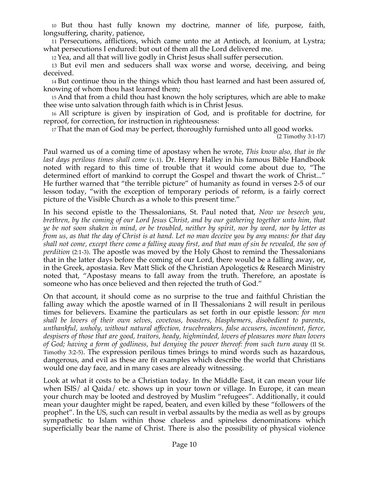10 But thou hast fully known my doctrine, manner of life, purpose, faith, longsuffering, charity, patience,

11 Persecutions, afflictions, which came unto me at Antioch, at Iconium, at Lystra; what persecutions I endured: but out of them all the Lord delivered me.

12 Yea, and all that will live godly in Christ Jesus shall suffer persecution.

13 But evil men and seducers shall wax worse and worse, deceiving, and being deceived.

14 But continue thou in the things which thou hast learned and hast been assured of, knowing of whom thou hast learned them;

15 And that from a child thou hast known the holy scriptures, which are able to make thee wise unto salvation through faith which is in Christ Jesus.

16 All scripture is given by inspiration of God, and is profitable for doctrine, for reproof, for correction, for instruction in righteousness:

17 That the man of God may be perfect, thoroughly furnished unto all good works.

(2 Timothy 3:1-17)

Paul warned us of a coming time of apostasy when he wrote, *This know also, that in the last days perilous times shall come* (v.1). Dr. Henry Halley in his famous Bible Handbook noted with regard to this time of trouble that it would come about due to, "The determined effort of mankind to corrupt the Gospel and thwart the work of Christ..." He further warned that "the terrible picture" of humanity as found in verses 2-5 of our lesson today, "with the exception of temporary periods of reform, is a fairly correct picture of the Visible Church as a whole to this present time."

In his second epistle to the Thessalonians, St. Paul noted that, *Now we beseech you, brethren, by the coming of our Lord Jesus Christ, and by our gathering together unto him, that ye be not soon shaken in mind, or be troubled, neither by spirit, nor by word, nor by letter as from us, as that the day of Christ is at hand. Let no man deceive you by any means: for that day shall not come, except there come a falling away first, and that man of sin be revealed, the son of perdition* (2:1-3). The apostle was moved by the Holy Ghost to remind the Thessalonians that in the latter days before the coming of our Lord, there would be a falling away, or, in the Greek, apostasia. Rev Matt Slick of the Christian Apologetics & Research Ministry noted that, "Apostasy means to fall away from the truth. Therefore, an apostate is someone who has once believed and then rejected the truth of God."

On that account, it should come as no surprise to the true and faithful Christian the falling away which the apostle warned of in II Thessalonians 2 will result in perilous times for believers. Examine the particulars as set forth in our epistle lesson: *for men shall be lovers of their own selves, covetous, boasters, blasphemers, disobedient to parents, unthankful, unholy, without natural affection, trucebreakers, false accusers, incontinent, fierce, despisers of those that are good, traitors, heady, highminded, lovers of pleasures more than lovers of God; having a form of godliness, but denying the power thereof: from such turn away* (II St. Timothy 3:2-5). The expression perilous times brings to mind words such as hazardous, dangerous, and evil as these are fit examples which describe the world that Christians would one day face, and in many cases are already witnessing.

Look at what it costs to be a Christian today. In the Middle East, it can mean your life when ISIS/ al Qaida/ etc. shows up in your town or village. In Europe, it can mean your church may be looted and destroyed by Muslim "refugees". Additionally, it could mean your daughter might be raped, beaten, and even killed by these "followers of the prophet". In the US, such can result in verbal assaults by the media as well as by groups sympathetic to Islam within those clueless and spineless denominations which superficially bear the name of Christ. There is also the possibility of physical violence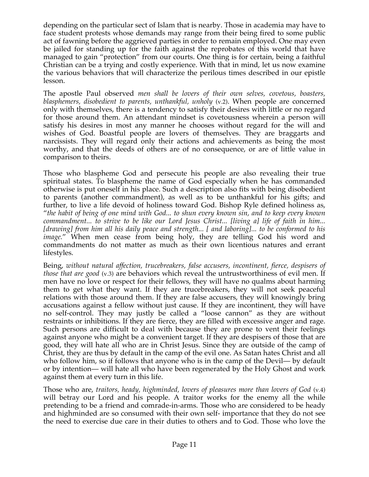depending on the particular sect of Islam that is nearby. Those in academia may have to face student protests whose demands may range from their being fired to some public act of fawning before the aggrieved parties in order to remain employed. One may even be jailed for standing up for the faith against the reprobates of this world that have managed to gain "protection" from our courts. One thing is for certain, being a faithful Christian can be a trying and costly experience. With that in mind, let us now examine the various behaviors that will characterize the perilous times described in our epistle lesson.

The apostle Paul observed *men shall be lovers of their own selves, covetous, boasters, blasphemers, disobedient to parents, unthankful, unholy* (v.2). When people are concerned only with themselves, there is a tendency to satisfy their desires with little or no regard for those around them. An attendant mindset is covetousness wherein a person will satisfy his desires in most any manner he chooses without regard for the will and wishes of God. Boastful people are lovers of themselves. They are braggarts and narcissists. They will regard only their actions and achievements as being the most worthy, and that the deeds of others are of no consequence, or are of little value in comparison to theirs.

Those who blaspheme God and persecute his people are also revealing their true spiritual states. To blaspheme the name of God especially when he has commanded otherwise is put oneself in his place. Such a description also fits with being disobedient to parents (another commandment), as well as to be unthankful for his gifts; and further, to live a life devoid of holiness toward God. Bishop Ryle defined holiness as, "*the habit of being of one mind with God... to shun every known sin, and to keep every known commandment... to strive to be like our Lord Jesus Christ... [living a] life of faith in him... [drawing] from him all his daily peace and strength... [ and laboring]... to be conformed to his image.*" When men cease from being holy, they are telling God his word and commandments do not matter as much as their own licentious natures and errant lifestyles.

Being, *without natural affection, trucebreakers, false accusers, incontinent, fierce, despisers of those that are good* (v.3) are behaviors which reveal the untrustworthiness of evil men. If men have no love or respect for their fellows, they will have no qualms about harming them to get what they want. If they are trucebreakers, they will not seek peaceful relations with those around them. If they are false accusers, they will knowingly bring accusations against a fellow without just cause. If they are incontinent, they will have no self-control. They may justly be called a "loose cannon" as they are without restraints or inhibitions. If they are fierce, they are filled with excessive anger and rage. Such persons are difficult to deal with because they are prone to vent their feelings against anyone who might be a convenient target. If they are despisers of those that are good, they will hate all who are in Christ Jesus. Since they are outside of the camp of Christ, they are thus by default in the camp of the evil one. As Satan hates Christ and all who follow him, so if follows that anyone who is in the camp of the Devil— by default or by intention— will hate all who have been regenerated by the Holy Ghost and work against them at every turn in this life.

Those who are, *traitors, heady, highminded, lovers of pleasures more than lovers of God* (v.4) will betray our Lord and his people. A traitor works for the enemy all the while pretending to be a friend and comrade-in-arms. Those who are considered to be heady and highminded are so consumed with their own self- importance that they do not see the need to exercise due care in their duties to others and to God. Those who love the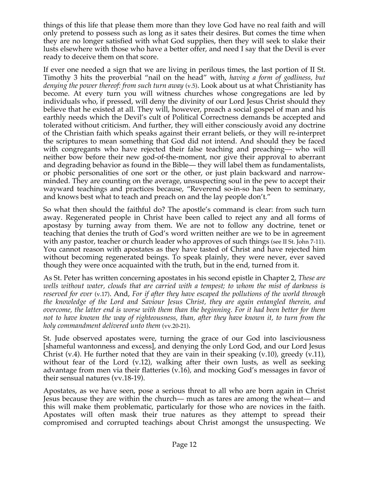things of this life that please them more than they love God have no real faith and will only pretend to possess such as long as it sates their desires. But comes the time when they are no longer satisfied with what God supplies, then they will seek to slake their lusts elsewhere with those who have a better offer, and need I say that the Devil is ever ready to deceive them on that score.

If ever one needed a sign that we are living in perilous times, the last portion of II St. Timothy 3 hits the proverbial "nail on the head" with, *having a form of godliness, but denying the power thereof: from such turn away* (v.5). Look about us at what Christianity has become. At every turn you will witness churches whose congregations are led by individuals who, if pressed, will deny the divinity of our Lord Jesus Christ should they believe that he existed at all. They will, however, preach a social gospel of man and his earthly needs which the Devil's cult of Political Correctness demands be accepted and tolerated without criticism. And further, they will either consciously avoid any doctrine of the Christian faith which speaks against their errant beliefs, or they will re-interpret the scriptures to mean something that God did not intend. And should they be faced with congregants who have rejected their false teaching and preaching— who will neither bow before their new god-of-the-moment, nor give their approval to aberrant and degrading behavior as found in the Bible— they will label them as fundamentalists, or phobic personalities of one sort or the other, or just plain backward and narrowminded. They are counting on the average, unsuspecting soul in the pew to accept their wayward teachings and practices because, "Reverend so-in-so has been to seminary, and knows best what to teach and preach on and the lay people don't."

So what then should the faithful do? The apostle's command is clear: from such turn away. Regenerated people in Christ have been called to reject any and all forms of apostasy by turning away from them. We are not to follow any doctrine, tenet or teaching that denies the truth of God's word written neither are we to be in agreement with any pastor, teacher or church leader who approves of such things (see II St. John 7-11). You cannot reason with apostates as they have tasted of Christ and have rejected him without becoming regenerated beings. To speak plainly, they were never, ever saved though they were once acquainted with the truth, but in the end, turned from it.

As St. Peter has written concerning apostates in his second epistle in Chapter 2, *These are wells without water, clouds that are carried with a tempest; to whom the mist of darkness is reserved for ever* (v.17). And, *For if after they have escaped the pollutions of the world through the knowledge of the Lord and Saviour Jesus Christ, they are again entangled therein, and overcome, the latter end is worse with them than the beginning. For it had been better for them not to have known the way of righteousness, than, after they have known it, to turn from the holy commandment delivered unto them* (vv.20-21).

St. Jude observed apostates were, turning the grace of our God into lasciviousness [shameful wantonness and excess], and denying the only Lord God, and our Lord Jesus Christ (v.4). He further noted that they are vain in their speaking (v.10), greedy (v.11), without fear of the Lord (v.12), walking after their own lusts, as well as seeking advantage from men via their flatteries (v.16), and mocking God's messages in favor of their sensual natures (vv.18-19).

Apostates, as we have seen, pose a serious threat to all who are born again in Christ Jesus because they are within the church— much as tares are among the wheat— and this will make them problematic, particularly for those who are novices in the faith. Apostates will often mask their true natures as they attempt to spread their compromised and corrupted teachings about Christ amongst the unsuspecting. We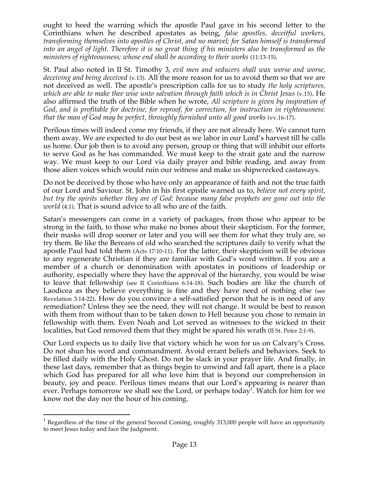ought to heed the warning which the apostle Paul gave in his second letter to the Corinthians when he described apostates as being, *false apostles, deceitful workers, transforming themselves into apostles of Christ, and no marvel; for Satan himself is transformed into an angel of light. Therefore it is no great thing if his ministers also be transformed as the ministers of righteousness; whose end shall be according to their works* (11:13-15).

St. Paul also noted in II St. Timothy 3, *evil men and seducers shall wax worse and worse, deceiving and being deceived* (v.13). All the more reason for us to avoid them so that we are not deceived as well. The apostle's prescription calls for us to study *the holy scriptures, which are able to make thee wise unto salvation through faith which is in Christ Jesus* (v.15). He also affirmed the truth of the Bible when he wrote, *All scripture is given by inspiration of God, and is profitable for doctrine, for reproof, for correction, for instruction in righteousness: that the man of God may be perfect, throughly furnished unto all good works* (vv.16-17).

Perilous times will indeed come my friends, if they are not already here. We cannot turn them away. We are expected to do our best as we labor in our Lord's harvest till he calls us home. Our job then is to avoid any person, group or thing that will inhibit our efforts to serve God as he has commanded. We must keep to the strait gate and the narrow way. We must keep to our Lord via daily prayer and bible reading, and away from those alien voices which would ruin our witness and make us shipwrecked castaways.

Do not be deceived by those who have only an appearance of faith and not the true faith of our Lord and Saviour. St. John in his first epistle warned us to, *believe not every spirit, but try the spirits whether they are of God: because many false prophets are gone out into the world* (4:1). That is sound advice to all who are of the faith.

Satan's messengers can come in a variety of packages, from those who appear to be strong in the faith, to those who make no bones about their skepticism. For the former, their masks will drop sooner or later and you will see them for what they truly are, so try them. Be like the Bereans of old who searched the scriptures daily to verify what the apostle Paul had told them (Acts 17:10-11). For the latter, their skepticism will be obvious to any regenerate Christian if they are familiar with God's word written. If you are a member of a church or denomination with apostates in positions of leadership or authority, especially where they have the approval of the hierarchy, you would be wise to leave that fellowship (see II Corinthians 6:14-18). Such bodies are like the church of Laodicea as they believe everything is fine and they have need of nothing else (see Revelation 3:14-22). How do you convince a self-satisfied person that he is in need of any remediation? Unless they see the need, they will not change. It would be best to reason with them from without than to be taken down to Hell because you chose to remain in fellowship with them. Even Noah and Lot served as witnesses to the wicked in their localities, but God removed them that they might be spared his wrath (II St. Peter 2:1-9).

Our Lord expects us to daily live that victory which he won for us on Calvary's Cross. Do not shun his word and commandment. Avoid errant beliefs and behaviors. Seek to be filled daily with the Holy Ghost. Do not be slack in your prayer life. And finally, in these last days, remember that as things begin to unwind and fall apart, there is a place which God has prepared for all who love him that is beyond our comprehension in beauty, joy and peace. Perilous times means that our Lord's appearing is nearer than ever. Perhaps tomorrow we shall see the Lord, or perhaps today<sup>1</sup>. Watch for him for we know not the day nor the hour of his coming.

<sup>&</sup>lt;sup>1</sup> Regardless of the time of the general Second Coming, roughly 313,000 people will have an opportunity to meet Jesus today and face the Judgment.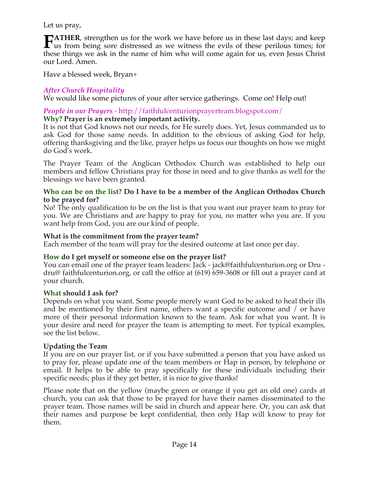Let us pray,

**ATHER**, strengthen us for the work we have before us in these last days; and keep **FATHER**, strengthen us for the work we have before us in these last days; and keep us from being sore distressed as we witness the evils of these perilous times; for these things we ask in the name of him who will come again for us, even Jesus Christ our Lord. Amen.

Have a blessed week, Bryan+

# *After Church Hospitality*

We would like some pictures of your after service gatherings. Come on! Help out!

# *People in our Prayers* - http://faithfulcenturionprayerteam.blogspot.com/

### **Why? Prayer is an extremely important activity.**

It is not that God knows not our needs, for He surely does. Yet, Jesus commanded us to ask God for those same needs. In addition to the obvious of asking God for help, offering thanksgiving and the like, prayer helps us focus our thoughts on how we might do God's work.

The Prayer Team of the Anglican Orthodox Church was established to help our members and fellow Christians pray for those in need and to give thanks as well for the blessings we have been granted.

### **Who can be on the list? Do I have to be a member of the Anglican Orthodox Church to be prayed for?**

No! The only qualification to be on the list is that you want our prayer team to pray for you. We are Christians and are happy to pray for you, no matter who you are. If you want help from God, you are our kind of people.

### **What is the commitment from the prayer team?**

Each member of the team will pray for the desired outcome at last once per day.

### **How do I get myself or someone else on the prayer list?**

You can email one of the prayer team leaders: Jack - jack@faithfulcenturion.org or Dru dru@ faithfulcenturion.org, or call the office at (619) 659-3608 or fill out a prayer card at your church.

### **What should I ask for?**

Depends on what you want. Some people merely want God to be asked to heal their ills and be mentioned by their first name, others want a specific outcome and / or have more of their personal information known to the team. Ask for what you want. It is your desire and need for prayer the team is attempting to meet. For typical examples, see the list below.

# **Updating the Team**

If you are on our prayer list, or if you have submitted a person that you have asked us to pray for, please update one of the team members or Hap in person, by telephone or email. It helps to be able to pray specifically for these individuals including their specific needs; plus if they get better, it is nice to give thanks!

Please note that on the yellow (maybe green or orange if you get an old one) cards at church, you can ask that those to be prayed for have their names disseminated to the prayer team. Those names will be said in church and appear here. Or, you can ask that their names and purpose be kept confidential, then only Hap will know to pray for them.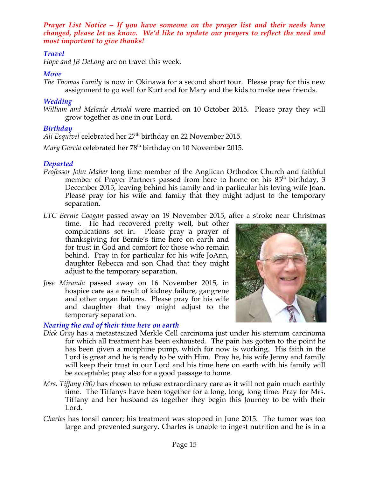*Prayer List Notice – If you have someone on the prayer list and their needs have changed, please let us know. We'd like to update our prayers to reflect the need and most important to give thanks!*

### *Travel*

*Hope and JB DeLong* are on travel this week.

### *Move*

*The Thomas Family* is now in Okinawa for a second short tour. Please pray for this new assignment to go well for Kurt and for Mary and the kids to make new friends.

### *Wedding*

*William and Melanie Arnold* were married on 10 October 2015. Please pray they will grow together as one in our Lord.

# *Birthday*

Ali Esquivel celebrated her 27<sup>th</sup> birthday on 22 November 2015.

*Mary Garcia* celebrated her 78<sup>th</sup> birthday on 10 November 2015.

# *Departed*

- *Professor John Maher* long time member of the Anglican Orthodox Church and faithful member of Prayer Partners passed from here to home on his 85<sup>th</sup> birthday, 3 December 2015, leaving behind his family and in particular his loving wife Joan. Please pray for his wife and family that they might adjust to the temporary separation.
- *LTC Bernie Coogan* passed away on 19 November 2015, after a stroke near Christmas

time. He had recovered pretty well, but other complications set in. Please pray a prayer of thanksgiving for Bernie's time here on earth and for trust in God and comfort for those who remain behind. Pray in for particular for his wife JoAnn, daughter Rebecca and son Chad that they might adjust to the temporary separation.

*Jose Miranda* passed away on 16 November 2015, in hospice care as a result of kidney failure, gangrene and other organ failures. Please pray for his wife and daughter that they might adjust to the temporary separation.

# *Nearing the end of their time here on earth*



- *Dick Gray* has a metastasized Merkle Cell carcinoma just under his sternum carcinoma for which all treatment has been exhausted. The pain has gotten to the point he has been given a morphine pump, which for now is working. His faith in the Lord is great and he is ready to be with Him. Pray he, his wife Jenny and family will keep their trust in our Lord and his time here on earth with his family will be acceptable; pray also for a good passage to home.
- *Mrs. Tiffany (90)* has chosen to refuse extraordinary care as it will not gain much earthly time. The Tiffanys have been together for a long, long, long time. Pray for Mrs. Tiffany and her husband as together they begin this Journey to be with their Lord.
- *Charles* has tonsil cancer; his treatment was stopped in June 2015. The tumor was too large and prevented surgery. Charles is unable to ingest nutrition and he is in a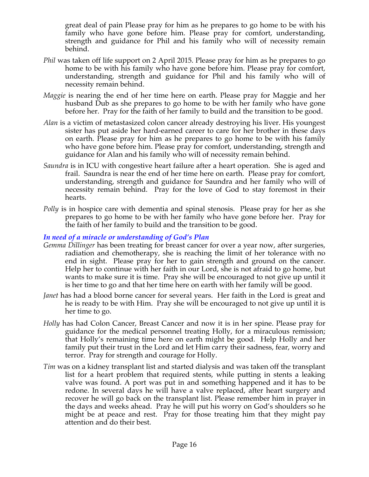great deal of pain Please pray for him as he prepares to go home to be with his family who have gone before him. Please pray for comfort, understanding, strength and guidance for Phil and his family who will of necessity remain behind.

- *Phil* was taken off life support on 2 April 2015. Please pray for him as he prepares to go home to be with his family who have gone before him. Please pray for comfort, understanding, strength and guidance for Phil and his family who will of necessity remain behind.
- *Maggie* is nearing the end of her time here on earth. Please pray for Maggie and her husband Dub as she prepares to go home to be with her family who have gone before her. Pray for the faith of her family to build and the transition to be good.
- *Alan* is a victim of metastasized colon cancer already destroying his liver. His youngest sister has put aside her hard-earned career to care for her brother in these days on earth. Please pray for him as he prepares to go home to be with his family who have gone before him. Please pray for comfort, understanding, strength and guidance for Alan and his family who will of necessity remain behind.
- *Saundra* is in ICU with congestive heart failure after a heart operation. She is aged and frail. Saundra is near the end of her time here on earth. Please pray for comfort, understanding, strength and guidance for Saundra and her family who will of necessity remain behind. Pray for the love of God to stay foremost in their hearts.
- *Polly* is in hospice care with dementia and spinal stenosis. Please pray for her as she prepares to go home to be with her family who have gone before her. Pray for the faith of her family to build and the transition to be good.

### *In need of a miracle or understanding of God's Plan*

- *Gemma Dillinger* has been treating for breast cancer for over a year now, after surgeries, radiation and chemotherapy, she is reaching the limit of her tolerance with no end in sight. Please pray for her to gain strength and ground on the cancer. Help her to continue with her faith in our Lord, she is not afraid to go home, but wants to make sure it is time. Pray she will be encouraged to not give up until it is her time to go and that her time here on earth with her family will be good.
- *Janet* has had a blood borne cancer for several years. Her faith in the Lord is great and he is ready to be with Him. Pray she will be encouraged to not give up until it is her time to go.
- *Holly* has had Colon Cancer, Breast Cancer and now it is in her spine. Please pray for guidance for the medical personnel treating Holly, for a miraculous remission; that Holly's remaining time here on earth might be good. Help Holly and her family put their trust in the Lord and let Him carry their sadness, fear, worry and terror. Pray for strength and courage for Holly.
- *Tim* was on a kidney transplant list and started dialysis and was taken off the transplant list for a heart problem that required stents, while putting in stents a leaking valve was found. A port was put in and something happened and it has to be redone. In several days he will have a valve replaced, after heart surgery and recover he will go back on the transplant list. Please remember him in prayer in the days and weeks ahead. Pray he will put his worry on God's shoulders so he might be at peace and rest. Pray for those treating him that they might pay attention and do their best.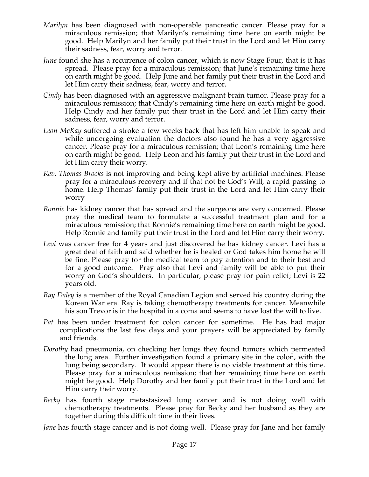- *Marilyn* has been diagnosed with non-operable pancreatic cancer. Please pray for a miraculous remission; that Marilyn's remaining time here on earth might be good. Help Marilyn and her family put their trust in the Lord and let Him carry their sadness, fear, worry and terror.
- *June* found she has a recurrence of colon cancer, which is now Stage Four, that is it has spread. Please pray for a miraculous remission; that June's remaining time here on earth might be good. Help June and her family put their trust in the Lord and let Him carry their sadness, fear, worry and terror.
- *Cindy* has been diagnosed with an aggressive malignant brain tumor. Please pray for a miraculous remission; that Cindy's remaining time here on earth might be good. Help Cindy and her family put their trust in the Lord and let Him carry their sadness, fear, worry and terror.
- *Leon McKay* suffered a stroke a few weeks back that has left him unable to speak and while undergoing evaluation the doctors also found he has a very aggressive cancer. Please pray for a miraculous remission; that Leon's remaining time here on earth might be good. Help Leon and his family put their trust in the Lord and let Him carry their worry.
- *Rev. Thomas Brooks* is not improving and being kept alive by artificial machines. Please pray for a miraculous recovery and if that not be God's Will, a rapid passing to home. Help Thomas' family put their trust in the Lord and let Him carry their worry
- *Ronnie* has kidney cancer that has spread and the surgeons are very concerned. Please pray the medical team to formulate a successful treatment plan and for a miraculous remission; that Ronnie's remaining time here on earth might be good. Help Ronnie and family put their trust in the Lord and let Him carry their worry.
- Levi was cancer free for 4 years and just discovered he has kidney cancer. Levi has a great deal of faith and said whether he is healed or God takes him home he will be fine. Please pray for the medical team to pay attention and to their best and for a good outcome. Pray also that Levi and family will be able to put their worry on God's shoulders. In particular, please pray for pain relief; Levi is 22 years old.
- *Ray Daley* is a member of the Royal Canadian Legion and served his country during the Korean War era. Ray is taking chemotherapy treatments for cancer. Meanwhile his son Trevor is in the hospital in a coma and seems to have lost the will to live.
- *Pat* has been under treatment for colon cancer for sometime. He has had major complications the last few days and your prayers will be appreciated by family and friends.
- *Dorothy* had pneumonia, on checking her lungs they found tumors which permeated the lung area. Further investigation found a primary site in the colon, with the lung being secondary. It would appear there is no viable treatment at this time. Please pray for a miraculous remission; that her remaining time here on earth might be good. Help Dorothy and her family put their trust in the Lord and let Him carry their worry.
- *Becky* has fourth stage metastasized lung cancer and is not doing well with chemotherapy treatments. Please pray for Becky and her husband as they are together during this difficult time in their lives.

*Jane* has fourth stage cancer and is not doing well. Please pray for Jane and her family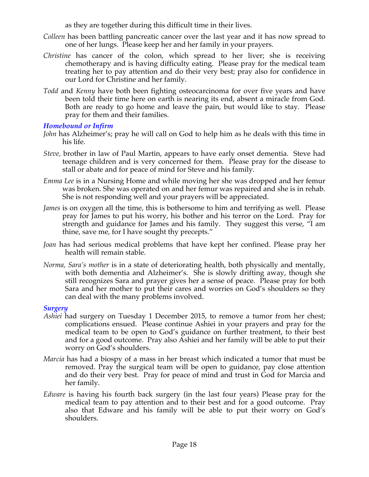as they are together during this difficult time in their lives.

- *Colleen* has been battling pancreatic cancer over the last year and it has now spread to one of her lungs. Please keep her and her family in your prayers.
- *Christine* has cancer of the colon, which spread to her liver; she is receiving chemotherapy and is having difficulty eating. Please pray for the medical team treating her to pay attention and do their very best; pray also for confidence in our Lord for Christine and her family.
- *Todd* and *Kenny* have both been fighting osteocarcinoma for over five years and have been told their time here on earth is nearing its end, absent a miracle from God. Both are ready to go home and leave the pain, but would like to stay. Please pray for them and their families.

# *Homebound or Infirm*

- *John* has Alzheimer's; pray he will call on God to help him as he deals with this time in his life.
- *Steve,* brother in law of Paul Martin, appears to have early onset dementia. Steve had teenage children and is very concerned for them. Please pray for the disease to stall or abate and for peace of mind for Steve and his family.
- *Emma Lee* is in a Nursing Home and while moving her she was dropped and her femur was broken. She was operated on and her femur was repaired and she is in rehab. She is not responding well and your prayers will be appreciated.
- *James* is on oxygen all the time, this is bothersome to him and terrifying as well. Please pray for James to put his worry, his bother and his terror on the Lord. Pray for strength and guidance for James and his family. They suggest this verse, "I am thine, save me, for I have sought thy precepts."
- *Joan* has had serious medical problems that have kept her confined. Please pray her health will remain stable.
- *Norma, Sara's mother* is in a state of deteriorating health, both physically and mentally, with both dementia and Alzheimer's. She is slowly drifting away, though she still recognizes Sara and prayer gives her a sense of peace. Please pray for both Sara and her mother to put their cares and worries on God's shoulders so they can deal with the many problems involved.

# *Surgery*

- *Ashiei* had surgery on Tuesday 1 December 2015, to remove a tumor from her chest; complications ensued. Please continue Ashiei in your prayers and pray for the medical team to be open to God's guidance on further treatment, to their best and for a good outcome. Pray also Ashiei and her family will be able to put their worry on God's shoulders.
- *Marcia* has had a biospy of a mass in her breast which indicated a tumor that must be removed. Pray the surgical team will be open to guidance, pay close attention and do their very best. Pray for peace of mind and trust in God for Marcia and her family.
- *Edware* is having his fourth back surgery (in the last four years) Please pray for the medical team to pay attention and to their best and for a good outcome. Pray also that Edware and his family will be able to put their worry on God's shoulders.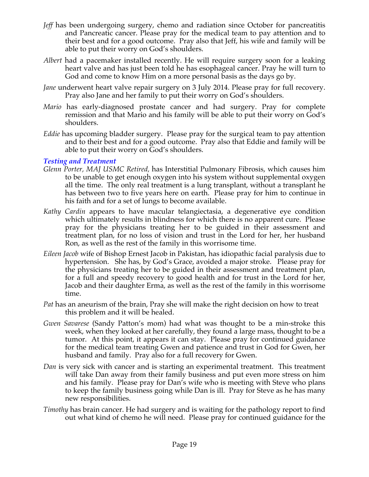- *Jeff* has been undergoing surgery, chemo and radiation since October for pancreatitis and Pancreatic cancer. Please pray for the medical team to pay attention and to their best and for a good outcome. Pray also that Jeff, his wife and family will be able to put their worry on God's shoulders.
- *Albert* had a pacemaker installed recently. He will require surgery soon for a leaking heart valve and has just been told he has esophageal cancer. Pray he will turn to God and come to know Him on a more personal basis as the days go by.
- *Jane* underwent heart valve repair surgery on 3 July 2014. Please pray for full recovery. Pray also Jane and her family to put their worry on God's shoulders.
- *Mario* has early-diagnosed prostate cancer and had surgery. Pray for complete remission and that Mario and his family will be able to put their worry on God's shoulders.
- *Eddie* has upcoming bladder surgery. Please pray for the surgical team to pay attention and to their best and for a good outcome. Pray also that Eddie and family will be able to put their worry on God's shoulders.

### *Testing and Treatment*

- *Glenn Porter, MAJ USMC Retired,* has Interstitial Pulmonary Fibrosis, which causes him to be unable to get enough oxygen into his system without supplemental oxygen all the time. The only real treatment is a lung transplant, without a transplant he has between two to five years here on earth. Please pray for him to continue in his faith and for a set of lungs to become available.
- *Kathy Cardin* appears to have macular telangiectasia, a degenerative eye condition which ultimately results in blindness for which there is no apparent cure. Please pray for the physicians treating her to be guided in their assessment and treatment plan, for no loss of vision and trust in the Lord for her, her husband Ron, as well as the rest of the family in this worrisome time.
- *Eileen Jacob* wife of Bishop Ernest Jacob in Pakistan, has idiopathic facial paralysis due to hypertension. She has, by God's Grace, avoided a major stroke. Please pray for the physicians treating her to be guided in their assessment and treatment plan, for a full and speedy recovery to good health and for trust in the Lord for her, Jacob and their daughter Erma, as well as the rest of the family in this worrisome time.
- *Pat* has an aneurism of the brain, Pray she will make the right decision on how to treat this problem and it will be healed.
- *Gwen Savarese* (Sandy Patton's mom) had what was thought to be a min-stroke this week, when they looked at her carefully, they found a large mass, thought to be a tumor. At this point, it appears it can stay. Please pray for continued guidance for the medical team treating Gwen and patience and trust in God for Gwen, her husband and family. Pray also for a full recovery for Gwen.
- *Dan* is very sick with cancer and is starting an experimental treatment. This treatment will take Dan away from their family business and put even more stress on him and his family. Please pray for Dan's wife who is meeting with Steve who plans to keep the family business going while Dan is ill. Pray for Steve as he has many new responsibilities.
- *Timothy* has brain cancer. He had surgery and is waiting for the pathology report to find out what kind of chemo he will need. Please pray for continued guidance for the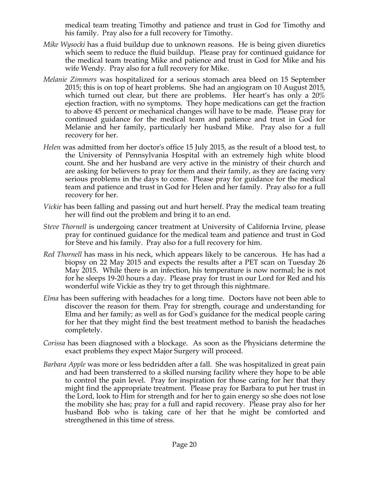medical team treating Timothy and patience and trust in God for Timothy and his family. Pray also for a full recovery for Timothy.

- *Mike Wysocki* has a fluid buildup due to unknown reasons. He is being given diuretics which seem to reduce the fluid buildup. Please pray for continued guidance for the medical team treating Mike and patience and trust in God for Mike and his wife Wendy. Pray also for a full recovery for Mike.
- *Melanie Zimmers* was hospitalized for a serious stomach area bleed on 15 September 2015; this is on top of heart problems. She had an angiogram on 10 August 2015, which turned out clear, but there are problems. Her heart's has only a 20% ejection fraction, with no symptoms. They hope medications can get the fraction to above 45 percent or mechanical changes will have to be made. Please pray for continued guidance for the medical team and patience and trust in God for Melanie and her family, particularly her husband Mike. Pray also for a full recovery for her.
- *Helen* was admitted from her doctor's office 15 July 2015, as the result of a blood test, to the University of Pennsylvania Hospital with an extremely high white blood count. She and her husband are very active in the ministry of their church and are asking for believers to pray for them and their family, as they are facing very serious problems in the days to come. Please pray for guidance for the medical team and patience and trust in God for Helen and her family. Pray also for a full recovery for her.
- *Vickie* has been falling and passing out and hurt herself. Pray the medical team treating her will find out the problem and bring it to an end.
- *Steve Thornell* is undergoing cancer treatment at University of California Irvine, please pray for continued guidance for the medical team and patience and trust in God for Steve and his family. Pray also for a full recovery for him.
- *Red Thornell* has mass in his neck, which appears likely to be cancerous. He has had a biopsy on 22 May 2015 and expects the results after a PET scan on Tuesday 26 May 2015. While there is an infection, his temperature is now normal; he is not for he sleeps 19-20 hours a day. Please pray for trust in our Lord for Red and his wonderful wife Vickie as they try to get through this nightmare.
- *Elma* has been suffering with headaches for a long time. Doctors have not been able to discover the reason for them. Pray for strength, courage and understanding for Elma and her family; as well as for God's guidance for the medical people caring for her that they might find the best treatment method to banish the headaches completely.
- *Corissa* has been diagnosed with a blockage. As soon as the Physicians determine the exact problems they expect Major Surgery will proceed.
- *Barbara Apple* was more or less bedridden after a fall. She was hospitalized in great pain and had been transferred to a skilled nursing facility where they hope to be able to control the pain level. Pray for inspiration for those caring for her that they might find the appropriate treatment. Please pray for Barbara to put her trust in the Lord, look to Him for strength and for her to gain energy so she does not lose the mobility she has; pray for a full and rapid recovery. Please pray also for her husband Bob who is taking care of her that he might be comforted and strengthened in this time of stress.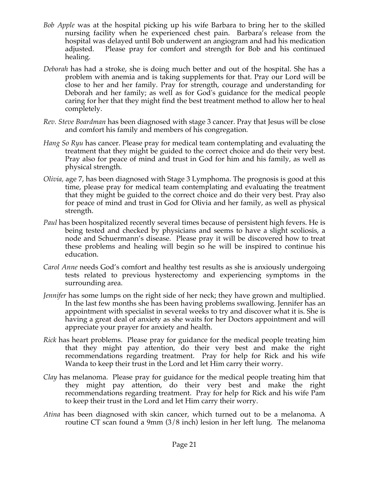- *Bob Apple* was at the hospital picking up his wife Barbara to bring her to the skilled nursing facility when he experienced chest pain. Barbara's release from the hospital was delayed until Bob underwent an angiogram and had his medication adjusted. Please pray for comfort and strength for Bob and his continued healing.
- *Deborah* has had a stroke, she is doing much better and out of the hospital. She has a problem with anemia and is taking supplements for that. Pray our Lord will be close to her and her family. Pray for strength, courage and understanding for Deborah and her family; as well as for God's guidance for the medical people caring for her that they might find the best treatment method to allow her to heal completely.
- *Rev. Steve Boardman* has been diagnosed with stage 3 cancer. Pray that Jesus will be close and comfort his family and members of his congregation*.*
- *Hang So Ryu* has cancer. Please pray for medical team contemplating and evaluating the treatment that they might be guided to the correct choice and do their very best. Pray also for peace of mind and trust in God for him and his family, as well as physical strength.
- *Olivia,* age 7, has been diagnosed with Stage 3 Lymphoma. The prognosis is good at this time, please pray for medical team contemplating and evaluating the treatment that they might be guided to the correct choice and do their very best. Pray also for peace of mind and trust in God for Olivia and her family, as well as physical strength.
- *Paul* has been hospitalized recently several times because of persistent high fevers. He is being tested and checked by physicians and seems to have a slight scoliosis, a node and Schuermann's disease. Please pray it will be discovered how to treat these problems and healing will begin so he will be inspired to continue his education.
- *Carol Anne* needs God's comfort and healthy test results as she is anxiously undergoing tests related to previous hysterectomy and experiencing symptoms in the surrounding area.
- *Jennifer* has some lumps on the right side of her neck; they have grown and multiplied. In the last few months she has been having problems swallowing. Jennifer has an appointment with specialist in several weeks to try and discover what it is. She is having a great deal of anxiety as she waits for her Doctors appointment and will appreciate your prayer for anxiety and health.
- *Rick* has heart problems. Please pray for guidance for the medical people treating him that they might pay attention, do their very best and make the right recommendations regarding treatment. Pray for help for Rick and his wife Wanda to keep their trust in the Lord and let Him carry their worry.
- *Clay* has melanoma. Please pray for guidance for the medical people treating him that they might pay attention, do their very best and make the right recommendations regarding treatment. Pray for help for Rick and his wife Pam to keep their trust in the Lord and let Him carry their worry.
- *Atina* has been diagnosed with skin cancer, which turned out to be a melanoma. A routine CT scan found a 9mm (3/8 inch) lesion in her left lung. The melanoma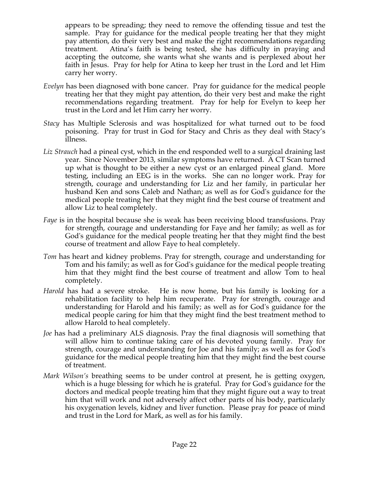appears to be spreading; they need to remove the offending tissue and test the sample. Pray for guidance for the medical people treating her that they might pay attention, do their very best and make the right recommendations regarding treatment. Atina's faith is being tested, she has difficulty in praying and accepting the outcome, she wants what she wants and is perplexed about her faith in Jesus. Pray for help for Atina to keep her trust in the Lord and let Him carry her worry.

- *Evelyn* has been diagnosed with bone cancer. Pray for guidance for the medical people treating her that they might pay attention, do their very best and make the right recommendations regarding treatment. Pray for help for Evelyn to keep her trust in the Lord and let Him carry her worry.
- *Stacy* has Multiple Sclerosis and was hospitalized for what turned out to be food poisoning. Pray for trust in God for Stacy and Chris as they deal with Stacy's illness.
- *Liz Strauch* had a pineal cyst, which in the end responded well to a surgical draining last year. Since November 2013, similar symptoms have returned. A CT Scan turned up what is thought to be either a new cyst or an enlarged pineal gland. More testing, including an EEG is in the works. She can no longer work. Pray for strength, courage and understanding for Liz and her family, in particular her husband Ken and sons Caleb and Nathan; as well as for God's guidance for the medical people treating her that they might find the best course of treatment and allow Liz to heal completely.
- *Faye* is in the hospital because she is weak has been receiving blood transfusions. Pray for strength, courage and understanding for Faye and her family; as well as for God's guidance for the medical people treating her that they might find the best course of treatment and allow Faye to heal completely.
- *Tom* has heart and kidney problems. Pray for strength, courage and understanding for Tom and his family; as well as for God's guidance for the medical people treating him that they might find the best course of treatment and allow Tom to heal completely.
- *Harold* has had a severe stroke. He is now home, but his family is looking for a rehabilitation facility to help him recuperate. Pray for strength, courage and understanding for Harold and his family; as well as for God's guidance for the medical people caring for him that they might find the best treatment method to allow Harold to heal completely.
- *Joe* has had a preliminary ALS diagnosis. Pray the final diagnosis will something that will allow him to continue taking care of his devoted young family. Pray for strength, courage and understanding for Joe and his family; as well as for God's guidance for the medical people treating him that they might find the best course of treatment.
- *Mark Wilson's* breathing seems to be under control at present, he is getting oxygen, which is a huge blessing for which he is grateful. Pray for God's guidance for the doctors and medical people treating him that they might figure out a way to treat him that will work and not adversely affect other parts of his body, particularly his oxygenation levels, kidney and liver function. Please pray for peace of mind and trust in the Lord for Mark, as well as for his family.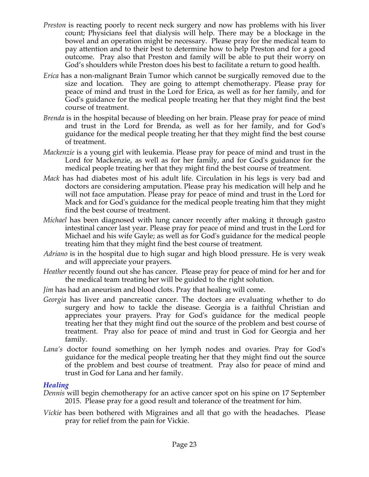- *Preston* is reacting poorly to recent neck surgery and now has problems with his liver count; Physicians feel that dialysis will help. There may be a blockage in the bowel and an operation might be necessary. Please pray for the medical team to pay attention and to their best to determine how to help Preston and for a good outcome. Pray also that Preston and family will be able to put their worry on God's shoulders while Preston does his best to facilitate a return to good health.
- *Erica* has a non-malignant Brain Tumor which cannot be surgically removed due to the size and location. They are going to attempt chemotherapy. Please pray for peace of mind and trust in the Lord for Erica, as well as for her family, and for God's guidance for the medical people treating her that they might find the best course of treatment.
- *Brenda* is in the hospital because of bleeding on her brain. Please pray for peace of mind and trust in the Lord for Brenda, as well as for her family, and for God's guidance for the medical people treating her that they might find the best course of treatment.
- *Mackenzie* is a young girl with leukemia. Please pray for peace of mind and trust in the Lord for Mackenzie, as well as for her family, and for God's guidance for the medical people treating her that they might find the best course of treatment.
- *Mack* has had diabetes most of his adult life. Circulation in his legs is very bad and doctors are considering amputation. Please pray his medication will help and he will not face amputation. Please pray for peace of mind and trust in the Lord for Mack and for God's guidance for the medical people treating him that they might find the best course of treatment.
- *Michael* has been diagnosed with lung cancer recently after making it through gastro intestinal cancer last year. Please pray for peace of mind and trust in the Lord for Michael and his wife Gayle; as well as for God's guidance for the medical people treating him that they might find the best course of treatment.
- *Adriano* is in the hospital due to high sugar and high blood pressure. He is very weak and will appreciate your prayers.
- *Heather* recently found out she has cancer. Please pray for peace of mind for her and for the medical team treating her will be guided to the right solution.
- *Jim* has had an aneurism and blood clots. Pray that healing will come.
- *Georgia* has liver and pancreatic cancer. The doctors are evaluating whether to do surgery and how to tackle the disease. Georgia is a faithful Christian and appreciates your prayers. Pray for God's guidance for the medical people treating her that they might find out the source of the problem and best course of treatment. Pray also for peace of mind and trust in God for Georgia and her family.
- *Lana's* doctor found something on her lymph nodes and ovaries. Pray for God's guidance for the medical people treating her that they might find out the source of the problem and best course of treatment. Pray also for peace of mind and trust in God for Lana and her family.

# *Healing*

- *Dennis* will begin chemotherapy for an active cancer spot on his spine on 17 September 2015. Please pray for a good result and tolerance of the treatment for him.
- *Vickie* has been bothered with Migraines and all that go with the headaches. Please pray for relief from the pain for Vickie.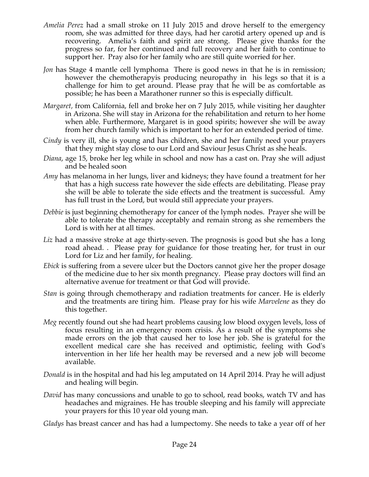- *Amelia Perez* had a small stroke on 11 July 2015 and drove herself to the emergency room, she was admitted for three days, had her carotid artery opened up and is recovering. Amelia's faith and spirit are strong. Please give thanks for the progress so far, for her continued and full recovery and her faith to continue to support her. Pray also for her family who are still quite worried for her.
- *Jon* has Stage 4 mantle cell lymphoma There is good news in that he is in remission; however the chemotherapyis producing neuropathy in his legs so that it is a challenge for him to get around. Please pray that he will be as comfortable as possible; he has been a Marathoner runner so this is especially difficult.
- *Margaret,* from California, fell and broke her on 7 July 2015, while visiting her daughter in Arizona. She will stay in Arizona for the rehabilitation and return to her home when able. Furthermore, Margaret is in good spirits; however she will be away from her church family which is important to her for an extended period of time.
- *Cindy* is very ill, she is young and has children, she and her family need your prayers that they might stay close to our Lord and Saviour Jesus Christ as she heals.
- *Diana*, age 15, broke her leg while in school and now has a cast on. Pray she will adjust and be healed soon
- *Amy* has melanoma in her lungs, liver and kidneys; they have found a treatment for her that has a high success rate however the side effects are debilitating. Please pray she will be able to tolerate the side effects and the treatment is successful. Amy has full trust in the Lord, but would still appreciate your prayers.
- *Debbie* is just beginning chemotherapy for cancer of the lymph nodes. Prayer she will be able to tolerate the therapy acceptably and remain strong as she remembers the Lord is with her at all times.
- *Liz* had a massive stroke at age thirty-seven. The prognosis is good but she has a long road ahead. . Please pray for guidance for those treating her, for trust in our Lord for Liz and her family, for healing.
- *Ebick* is suffering from a severe ulcer but the Doctors cannot give her the proper dosage of the medicine due to her six month pregnancy. Please pray doctors will find an alternative avenue for treatment or that God will provide.
- *Stan* is going through chemotherapy and radiation treatments for cancer. He is elderly and the treatments are tiring him. Please pray for his wife *Marvelene* as they do this together.
- *Meg* recently found out she had heart problems causing low blood oxygen levels, loss of focus resulting in an emergency room crisis. As a result of the symptoms she made errors on the job that caused her to lose her job. She is grateful for the excellent medical care she has received and optimistic, feeling with God's intervention in her life her health may be reversed and a new job will become available.
- *Donald* is in the hospital and had his leg amputated on 14 April 2014. Pray he will adjust and healing will begin.
- *David* has many concussions and unable to go to school, read books, watch TV and has headaches and migraines. He has trouble sleeping and his family will appreciate your prayers for this 10 year old young man.

*Gladys* has breast cancer and has had a lumpectomy. She needs to take a year off of her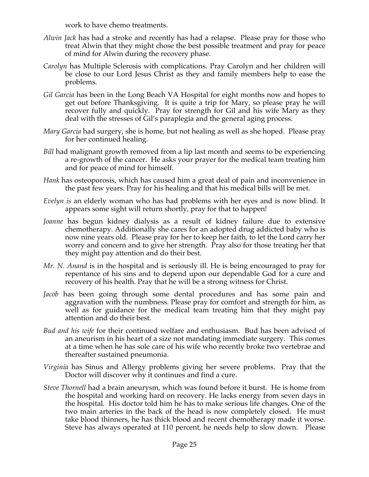work to have chemo treatments.

- *Alwin Jack* has had a stroke and recently has had a relapse. Please pray for those who treat Alwin that they might chose the best possible treatment and pray for peace of mind for Alwin during the recovery phase.
- *Carolyn* has Multiple Sclerosis with complications. Pray Carolyn and her children will be close to our Lord Jesus Christ as they and family members help to ease the problems.
- *Gil Garcia* has been in the Long Beach VA Hospital for eight months now and hopes to get out before Thanksgiving. It is quite a trip for Mary, so please pray he will recover fully and quickly. Pray for strength for Gil and his wife Mary as they deal with the stresses of Gil's paraplegia and the general aging process.
- *Mary Garcia* had surgery, she is home, but not healing as well as she hoped. Please pray for her continued healing.
- *Bill* had malignant growth removed from a lip last month and seems to be experiencing a re-growth of the cancer. He asks your prayer for the medical team treating him and for peace of mind for himself.
- *Hank* has osteoporosis, which has caused him a great deal of pain and inconvenience in the past few years. Pray for his healing and that his medical bills will be met.
- *Evelyn is* an elderly woman who has had problems with her eyes and is now blind. It appears some sight will return shortly, pray for that to happen!
- *Joanne* has begun kidney dialysis as a result of kidney failure due to extensive chemotherapy. Additionally she cares for an adopted drug addicted baby who is now nine years old. Please pray for her to keep her faith, to let the Lord carry her worry and concern and to give her strength. Pray also for those treating her that they might pay attention and do their best.
- *Mr. N. Anand* is in the hospital and is seriously ill. He is being encouraged to pray for repentance of his sins and to depend upon our dependable God for a cure and recovery of his health. Pray that he will be a strong witness for Christ.
- *Jacob* has been going through some dental procedures and has some pain and aggravation with the numbness. Please pray for comfort and strength for him, as well as for guidance for the medical team treating him that they might pay attention and do their best.
- *Bud and his wife* for their continued welfare and enthusiasm. Bud has been advised of an aneurism in his heart of a size not mandating immediate surgery. This comes at a time when he has sole care of his wife who recently broke two vertebrae and thereafter sustained pneumonia.
- *Virginia* has Sinus and Allergy problems giving her severe problems. Pray that the Doctor will discover why it continues and find a cure.
- *Steve Thornell* had a brain aneurysm, which was found before it burst. He is home from the hospital and working hard on recovery. He lacks energy from seven days in the hospital. His doctor told him he has to make serious life changes. One of the two main arteries in the back of the head is now completely closed. He must take blood thinners, he has thick blood and recent chemotherapy made it worse. Steve has always operated at 110 percent, he needs help to slow down. Please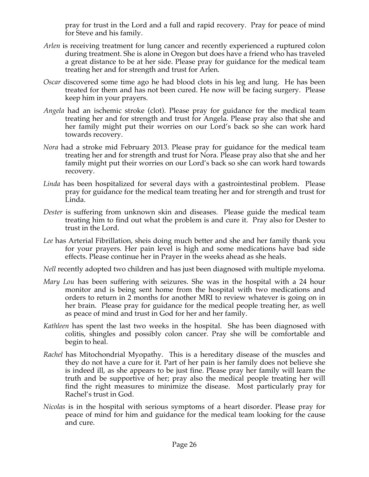pray for trust in the Lord and a full and rapid recovery. Pray for peace of mind for Steve and his family.

- *Arlen* is receiving treatment for lung cancer and recently experienced a ruptured colon during treatment. She is alone in Oregon but does have a friend who has traveled a great distance to be at her side. Please pray for guidance for the medical team treating her and for strength and trust for Arlen.
- *Oscar* discovered some time ago he had blood clots in his leg and lung. He has been treated for them and has not been cured. He now will be facing surgery. Please keep him in your prayers.
- *Angela* had an ischemic stroke (clot). Please pray for guidance for the medical team treating her and for strength and trust for Angela. Please pray also that she and her family might put their worries on our Lord's back so she can work hard towards recovery.
- *Nora* had a stroke mid February 2013. Please pray for guidance for the medical team treating her and for strength and trust for Nora. Please pray also that she and her family might put their worries on our Lord's back so she can work hard towards recovery.
- *Linda* has been hospitalized for several days with a gastrointestinal problem. Please pray for guidance for the medical team treating her and for strength and trust for Linda.
- *Dester* is suffering from unknown skin and diseases. Please guide the medical team treating him to find out what the problem is and cure it. Pray also for Dester to trust in the Lord.
- *Lee* has Arterial Fibrillation, sheis doing much better and she and her family thank you for your prayers. Her pain level is high and some medications have bad side effects. Please continue her in Prayer in the weeks ahead as she heals.
- *Nell* recently adopted two children and has just been diagnosed with multiple myeloma.
- *Mary Lou* has been suffering with seizures. She was in the hospital with a 24 hour monitor and is being sent home from the hospital with two medications and orders to return in 2 months for another MRI to review whatever is going on in her brain. Please pray for guidance for the medical people treating her, as well as peace of mind and trust in God for her and her family.
- *Kathleen* has spent the last two weeks in the hospital. She has been diagnosed with colitis, shingles and possibly colon cancer. Pray she will be comfortable and begin to heal.
- *Rachel* has Mitochondrial Myopathy. This is a hereditary disease of the muscles and they do not have a cure for it. Part of her pain is her family does not believe she is indeed ill, as she appears to be just fine. Please pray her family will learn the truth and be supportive of her; pray also the medical people treating her will find the right measures to minimize the disease. Most particularly pray for Rachel's trust in God.
- *Nicolas* is in the hospital with serious symptoms of a heart disorder. Please pray for peace of mind for him and guidance for the medical team looking for the cause and cure.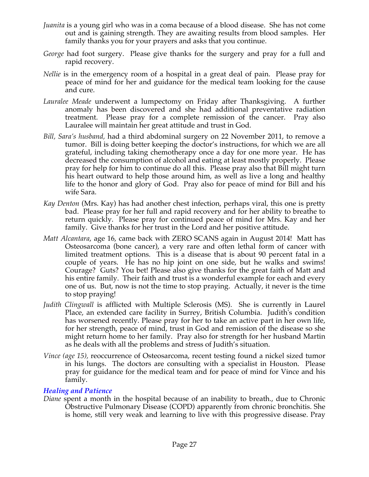- *Juanita* is a young girl who was in a coma because of a blood disease. She has not come out and is gaining strength. They are awaiting results from blood samples. Her family thanks you for your prayers and asks that you continue.
- *George* had foot surgery. Please give thanks for the surgery and pray for a full and rapid recovery.
- *Nellie* is in the emergency room of a hospital in a great deal of pain. Please pray for peace of mind for her and guidance for the medical team looking for the cause and cure.
- *Lauralee Meade* underwent a lumpectomy on Friday after Thanksgiving. A further anomaly has been discovered and she had additional preventative radiation treatment. Please pray for a complete remission of the cancer. Pray also Lauralee will maintain her great attitude and trust in God.
- *Bill, Sara's husband,* had a third abdominal surgery on 22 November 2011, to remove a tumor. Bill is doing better keeping the doctor's instructions, for which we are all grateful, including taking chemotherapy once a day for one more year. He has decreased the consumption of alcohol and eating at least mostly properly. Please pray for help for him to continue do all this. Please pray also that Bill might turn his heart outward to help those around him, as well as live a long and healthy life to the honor and glory of God. Pray also for peace of mind for Bill and his wife Sara.
- *Kay Denton* (Mrs. Kay) has had another chest infection, perhaps viral, this one is pretty bad. Please pray for her full and rapid recovery and for her ability to breathe to return quickly. Please pray for continued peace of mind for Mrs. Kay and her family. Give thanks for her trust in the Lord and her positive attitude.
- *Matt Alcantara*, age 16, came back with ZERO SCANS again in August 2014! Matt has Osteosarcoma (bone cancer), a very rare and often lethal form of cancer with limited treatment options. This is a disease that is about 90 percent fatal in a couple of years. He has no hip joint on one side, but he walks and swims! Courage? Guts? You bet! Please also give thanks for the great faith of Matt and his entire family. Their faith and trust is a wonderful example for each and every one of us. But, now is not the time to stop praying. Actually, it never is the time to stop praying!
- *Judith Clingwall* is afflicted with Multiple Sclerosis (MS). She is currently in Laurel Place, an extended care facility in Surrey, British Columbia. Judith's condition has worsened recently. Please pray for her to take an active part in her own life, for her strength, peace of mind, trust in God and remission of the disease so she might return home to her family. Pray also for strength for her husband Martin as he deals with all the problems and stress of Judith's situation.
- *Vince (age 15),* reoccurrence of Osteosarcoma, recent testing found a nickel sized tumor in his lungs. The doctors are consulting with a specialist in Houston. Please pray for guidance for the medical team and for peace of mind for Vince and his family.

### *Healing and Patience*

*Diane* spent a month in the hospital because of an inability to breath., due to Chronic Obstructive Pulmonary Disease (COPD) apparently from chronic bronchitis. She is home, still very weak and learning to live with this progressive disease. Pray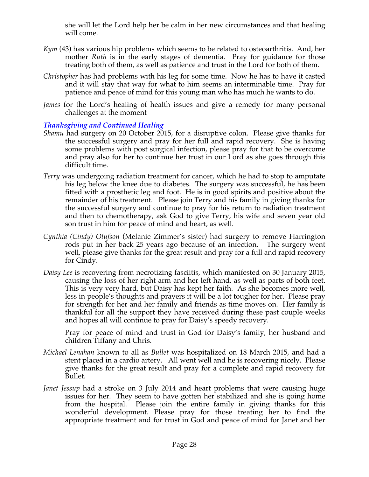she will let the Lord help her be calm in her new circumstances and that healing will come.

- *Kym* (43) has various hip problems which seems to be related to osteoarthritis. And, her mother *Ruth* is in the early stages of dementia. Pray for guidance for those treating both of them, as well as patience and trust in the Lord for both of them.
- *Christopher* has had problems with his leg for some time. Now he has to have it casted and it will stay that way for what to him seems an interminable time. Pray for patience and peace of mind for this young man who has much he wants to do.
- *James* for the Lord's healing of health issues and give a remedy for many personal challenges at the moment

# *Thanksgiving and Continued Healing*

- *Shamu* had surgery on 20 October 2015, for a disruptive colon. Please give thanks for the successful surgery and pray for her full and rapid recovery. She is having some problems with post surgical infection, please pray for that to be overcome and pray also for her to continue her trust in our Lord as she goes through this difficult time.
- *Terry* was undergoing radiation treatment for cancer, which he had to stop to amputate his leg below the knee due to diabetes. The surgery was successful, he has been fitted with a prosthetic leg and foot. He is in good spirits and positive about the remainder of his treatment. Please join Terry and his family in giving thanks for the successful surgery and continue to pray for his return to radiation treatment and then to chemotherapy, ask God to give Terry, his wife and seven year old son trust in him for peace of mind and heart, as well.
- *Cynthia (Cindy) Olufson* (Melanie Zimmer's sister) had surgery to remove Harrington rods put in her back 25 years ago because of an infection. The surgery went well, please give thanks for the great result and pray for a full and rapid recovery for Cindy.
- *Daisy Lee* is recovering from necrotizing fasciitis, which manifested on 30 January 2015, causing the loss of her right arm and her left hand, as well as parts of both feet. This is very very hard, but Daisy has kept her faith. As she becomes more well, less in people's thoughts and prayers it will be a lot tougher for her. Please pray for strength for her and her family and friends as time moves on. Her family is thankful for all the support they have received during these past couple weeks and hopes all will continue to pray for Daisy's speedy recovery.

Pray for peace of mind and trust in God for Daisy's family, her husband and children Tiffany and Chris.

- *Michael Lenahan* known to all as *Bullet* was hospitalized on 18 March 2015, and had a stent placed in a cardio artery. All went well and he is recovering nicely. Please give thanks for the great result and pray for a complete and rapid recovery for Bullet.
- *Janet Jessup* had a stroke on 3 July 2014 and heart problems that were causing huge issues for her. They seem to have gotten her stabilized and she is going home from the hospital. Please join the entire family in giving thanks for this wonderful development. Please pray for those treating her to find the appropriate treatment and for trust in God and peace of mind for Janet and her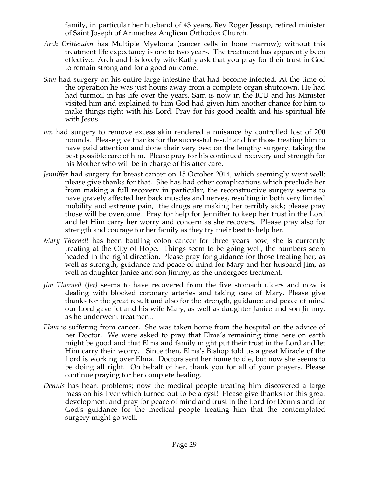family, in particular her husband of 43 years, Rev Roger Jessup, retired minister of Saint Joseph of Arimathea Anglican Orthodox Church.

- *Arch Crittenden* has Multiple Myeloma (cancer cells in bone marrow); without this treatment life expectancy is one to two years. The treatment has apparently been effective. Arch and his lovely wife Kathy ask that you pray for their trust in God to remain strong and for a good outcome.
- *Sam* had surgery on his entire large intestine that had become infected. At the time of the operation he was just hours away from a complete organ shutdown. He had had turmoil in his life over the years. Sam is now in the ICU and his Minister visited him and explained to him God had given him another chance for him to make things right with his Lord. Pray for his good health and his spiritual life with Jesus.
- *Ian* had surgery to remove excess skin rendered a nuisance by controlled lost of 200 pounds. Please give thanks for the successful result and for those treating him to have paid attention and done their very best on the lengthy surgery, taking the best possible care of him. Please pray for his continued recovery and strength for his Mother who will be in charge of his after care.
- *Jenniffer* had surgery for breast cancer on 15 October 2014, which seemingly went well; please give thanks for that. She has had other complications which preclude her from making a full recovery in particular, the reconstructive surgery seems to have gravely affected her back muscles and nerves, resulting in both very limited mobility and extreme pain, the drugs are making her terribly sick; please pray those will be overcome. Pray for help for Jenniffer to keep her trust in the Lord and let Him carry her worry and concern as she recovers. Please pray also for strength and courage for her family as they try their best to help her.
- *Mary Thornell* has been battling colon cancer for three years now, she is currently treating at the City of Hope. Things seem to be going well, the numbers seem headed in the right direction. Please pray for guidance for those treating her, as well as strength, guidance and peace of mind for Mary and her husband Jim, as well as daughter Janice and son Jimmy, as she undergoes treatment.
- *Jim Thornell (Jet)* seems to have recovered from the five stomach ulcers and now is dealing with blocked coronary arteries and taking care of Mary. Please give thanks for the great result and also for the strength, guidance and peace of mind our Lord gave Jet and his wife Mary, as well as daughter Janice and son Jimmy, as he underwent treatment.
- *Elma* is suffering from cancer. She was taken home from the hospital on the advice of her Doctor. We were asked to pray that Elma's remaining time here on earth might be good and that Elma and family might put their trust in the Lord and let Him carry their worry. Since then, Elma's Bishop told us a great Miracle of the Lord is working over Elma. Doctors sent her home to die, but now she seems to be doing all right. On behalf of her, thank you for all of your prayers. Please continue praying for her complete healing.
- *Dennis* has heart problems; now the medical people treating him discovered a large mass on his liver which turned out to be a cyst! Please give thanks for this great development and pray for peace of mind and trust in the Lord for Dennis and for God's guidance for the medical people treating him that the contemplated surgery might go well.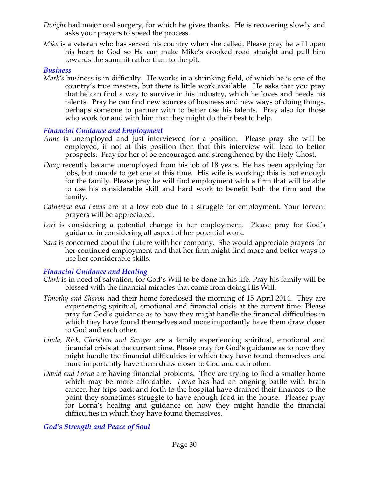- *Dwight* had major oral surgery, for which he gives thanks. He is recovering slowly and asks your prayers to speed the process.
- *Mike* is a veteran who has served his country when she called. Please pray he will open his heart to God so He can make Mike's crooked road straight and pull him towards the summit rather than to the pit.

#### *Business*

*Mark's* business is in difficulty. He works in a shrinking field, of which he is one of the country's true masters, but there is little work available. He asks that you pray that he can find a way to survive in his industry, which he loves and needs his talents. Pray he can find new sources of business and new ways of doing things, perhaps someone to partner with to better use his talents. Pray also for those who work for and with him that they might do their best to help.

#### *Financial Guidance and Employment*

- *Anne* is unemployed and just interviewed for a position. Please pray she will be employed, if not at this position then that this interview will lead to better prospects. Pray for her ot be encouraged and strengthened by the Holy Ghost.
- *Doug* recently became unemployed from his job of 18 years. He has been applying for jobs, but unable to get one at this time. His wife is working; this is not enough for the family. Please pray he will find employment with a firm that will be able to use his considerable skill and hard work to benefit both the firm and the family.
- *Catherine and Lewis* are at a low ebb due to a struggle for employment. Your fervent prayers will be appreciated.
- Lori is considering a potential change in her employment. Please pray for God's guidance in considering all aspect of her potential work.
- *Sara* is concerned about the future with her company. She would appreciate prayers for her continued employment and that her firm might find more and better ways to use her considerable skills.

### *Financial Guidance and Healing*

- *Clark* is in need of salvation; for God's Will to be done in his life. Pray his family will be blessed with the financial miracles that come from doing His Will.
- *Timothy and Sharon* had their home foreclosed the morning of 15 April 2014. They are experiencing spiritual, emotional and financial crisis at the current time. Please pray for God's guidance as to how they might handle the financial difficulties in which they have found themselves and more importantly have them draw closer to God and each other.
- *Linda, Rick, Christian and Sawyer* are a family experiencing spiritual, emotional and financial crisis at the current time. Please pray for God's guidance as to how they might handle the financial difficulties in which they have found themselves and more importantly have them draw closer to God and each other.
- *David and Lorna* are having financial problems. They are trying to find a smaller home which may be more affordable. *Lorna* has had an ongoing battle with brain cancer, her trips back and forth to the hospital have drained their finances to the point they sometimes struggle to have enough food in the house. Pleaser pray for Lorna's healing and guidance on how they might handle the financial difficulties in which they have found themselves.

### *God's Strength and Peace of Soul*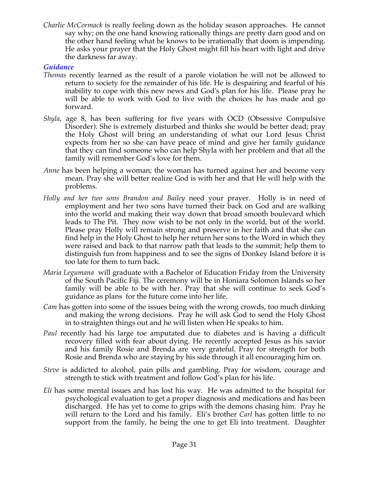*Charlie McCormack* is really feeling down as the holiday season approaches. He cannot say why; on the one hand knowing rationally things are pretty darn good and on the other hand feeling what he knows to be irrationally that doom is impending. He asks your prayer that the Holy Ghost might fill his heart with light and drive the darkness far away.

#### *Guidance*

- *Thomas* recently learned as the result of a parole violation he will not be allowed to return to society for the remainder of his life. He is despairing and fearful of his inability to cope with this new news and God's plan for his life. Please pray he will be able to work with God to live with the choices he has made and go forward.
- *Shyla*, age 8, has been suffering for five years with OCD (Obsessive Compulsive Disorder). She is extremely disturbed and thinks she would be better dead; pray the Holy Ghost will bring an understanding of what our Lord Jesus Christ expects from her so she can have peace of mind and give her family guidance that they can find someone who can help Shyla with her problem and that all the family will remember God's love for them.
- *Anne* has been helping a woman; the woman has turned against her and become very mean. Pray she will better realize God is with her and that He will help with the problems.
- *Holly and her two sons Brandon and Bailey* need your prayer. Holly is in need of employment and her two sons have turned their back on God and are walking into the world and making their way down that broad smooth boulevard which leads to The Pit. They now wish to be not only in the world, but of the world. Please pray Holly will remain strong and preserve in her faith and that she can find help in the Holy Ghost to help her return her sons to the Word in which they were raised and back to that narrow path that leads to the summit; help them to distinguish fun from happiness and to see the signs of Donkey Island before it is too late for them to turn back.
- *Maria Legumana* will graduate with a Bachelor of Education Friday from the University of the South Pacific Fiji. The ceremony will be in Honiara Solomon Islands so her family will be able to be with her. Pray that she will continue to seek God's guidance as plans for the future come into her life.
- *Cam* has gotten into some of the issues being with the wrong crowds, too much dinking and making the wrong decisions. Pray he will ask God to send the Holy Ghost in to straighten things out and he will listen when He speaks to him.
- *Paul* recently had his large toe amputated due to diabetes and is having a difficult recovery filled with fear about dying. He recently accepted Jesus as his savior and his family Rosie and Brenda are very grateful. Pray for strength for both Rosie and Brenda who are staying by his side through it all encouraging him on.
- *Steve* is addicted to alcohol, pain pills and gambling. Pray for wisdom, courage and strength to stick with treatment and follow God's plan for his life.
- *Eli* has some mental issues and has lost his way. He was admitted to the hospital for psychological evaluation to get a proper diagnosis and medications and has been discharged. He has yet to come to grips with the demons chasing him. Pray he will return to the Lord and his family. Eli's brother *Carl* has gotten little to no support from the family, he being the one to get Eli into treatment. Daughter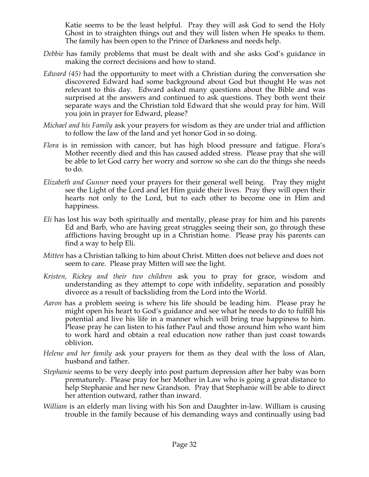Katie seems to be the least helpful. Pray they will ask God to send the Holy Ghost in to straighten things out and they will listen when He speaks to them. The family has been open to the Prince of Darkness and needs help.

- *Debbie* has family problems that must be dealt with and she asks God's guidance in making the correct decisions and how to stand.
- *Edward (45)* had the opportunity to meet with a Christian during the conversation she discovered Edward had some background about God but thought He was not relevant to this day. Edward asked many questions about the Bible and was surprised at the answers and continued to ask questions. They both went their separate ways and the Christian told Edward that she would pray for him. Will you join in prayer for Edward, please?
- *Michael and his Family* ask your prayers for wisdom as they are under trial and affliction to follow the law of the land and yet honor God in so doing.
- *Flora* is in remission with cancer, but has high blood pressure and fatigue. Flora's Mother recently died and this has caused added stress. Please pray that she will be able to let God carry her worry and sorrow so she can do the things she needs to do.
- *Elizabeth and Gunner* need your prayers for their general well being. Pray they might see the Light of the Lord and let Him guide their lives. Pray they will open their hearts not only to the Lord, but to each other to become one in Him and happiness.
- *Eli* has lost his way both spiritually and mentally, please pray for him and his parents Ed and Barb, who are having great struggles seeing their son, go through these afflictions having brought up in a Christian home. Please pray his parents can find a way to help Eli.
- *Mitten* has a Christian talking to him about Christ. Mitten does not believe and does not seem to care. Please pray Mitten will see the light.
- *Kristen, Rickey and their two children* ask you to pray for grace, wisdom and understanding as they attempt to cope with infidelity, separation and possibly divorce as a result of backsliding from the Lord into the World.
- *Aaron* has a problem seeing is where his life should be leading him. Please pray he might open his heart to God's guidance and see what he needs to do to fulfill his potential and live his life in a manner which will bring true happiness to him. Please pray he can listen to his father Paul and those around him who want him to work hard and obtain a real education now rather than just coast towards oblivion.
- *Helene and her family* ask your prayers for them as they deal with the loss of Alan, husband and father.
- *Stephanie* seems to be very deeply into post partum depression after her baby was born prematurely. Please pray for her Mother in Law who is going a great distance to help Stephanie and her new Grandson. Pray that Stephanie will be able to direct her attention outward, rather than inward.
- *William* is an elderly man living with his Son and Daughter in-law. William is causing trouble in the family because of his demanding ways and continually using bad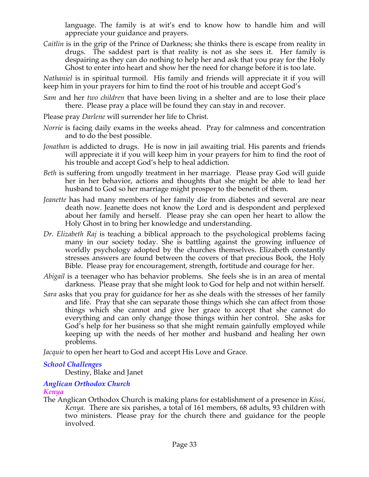language. The family is at wit's end to know how to handle him and will appreciate your guidance and prayers.

*Caitlin* is in the grip of the Prince of Darkness; she thinks there is escape from reality in drugs. The saddest part is that reality is not as she sees it. Her family is despairing as they can do nothing to help her and ask that you pray for the Holy Ghost to enter into heart and show her the need for change before it is too late.

*Nathaniel* is in spiritual turmoil. His family and friends will appreciate it if you will keep him in your prayers for him to find the root of his trouble and accept God's

- *Sam* and her *two children* that have been living in a shelter and are to lose their place there. Please pray a place will be found they can stay in and recover.
- Please pray *Darlene* will surrender her life to Christ.
- *Norrie* is facing daily exams in the weeks ahead. Pray for calmness and concentration and to do the best possible.
- *Jonathan* is addicted to drugs. He is now in jail awaiting trial. His parents and friends will appreciate it if you will keep him in your prayers for him to find the root of his trouble and accept God's help to heal addiction.
- *Beth* is suffering from ungodly treatment in her marriage. Please pray God will guide her in her behavior, actions and thoughts that she might be able to lead her husband to God so her marriage might prosper to the benefit of them.
- *Jeanette* has had many members of her family die from diabetes and several are near death now. Jeanette does not know the Lord and is despondent and perplexed about her family and herself. Please pray she can open her heart to allow the Holy Ghost in to bring her knowledge and understanding.
- *Dr. Elizabeth Raj* is teaching a biblical approach to the psychological problems facing many in our society today. She is battling against the growing influence of worldly psychology adopted by the churches themselves. Elizabeth constantly stresses answers are found between the covers of that precious Book, the Holy Bible. Please pray for encouragement, strength, fortitude and courage for her.
- *Abigail* is a teenager who has behavior problems. She feels she is in an area of mental darkness. Please pray that she might look to God for help and not within herself.
- *Sara* asks that you pray for guidance for her as she deals with the stresses of her family and life. Pray that she can separate those things which she can affect from those things which she cannot and give her grace to accept that she cannot do everything and can only change those things within her control. She asks for God's help for her business so that she might remain gainfully employed while keeping up with the needs of her mother and husband and healing her own problems.

*Jacquie* to open her heart to God and accept His Love and Grace.

# *School Challenges*

Destiny, Blake and Janet

# *Anglican Orthodox Church*

### *Kenya*

The Anglican Orthodox Church is making plans for establishment of a presence in *Kissi, Kenya.* There are six parishes, a total of 161 members, 68 adults, 93 children with two ministers. Please pray for the church there and guidance for the people involved.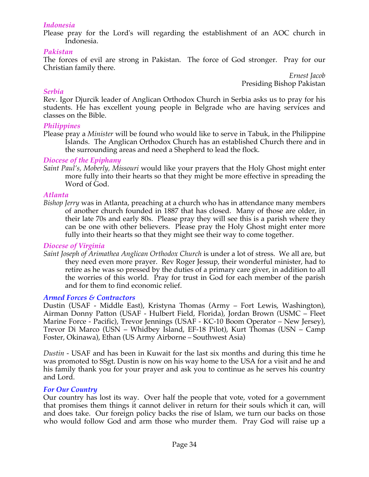### *Indonesia*

Please pray for the Lord's will regarding the establishment of an AOC church in Indonesia.

#### *Pakistan*

The forces of evil are strong in Pakistan. The force of God stronger. Pray for our Christian family there.

> *Ernest Jacob* Presiding Bishop Pakistan

#### *Serbia*

Rev. Igor Djurcik leader of Anglican Orthodox Church in Serbia asks us to pray for his students. He has excellent young people in Belgrade who are having services and classes on the Bible.

#### *Philippines*

Please pray a *Minister* will be found who would like to serve in Tabuk, in the Philippine Islands. The Anglican Orthodox Church has an established Church there and in the surrounding areas and need a Shepherd to lead the flock*.*

#### *Diocese of the Epiphany*

*Saint Paul's, Moberly, Missouri* would like your prayers that the Holy Ghost might enter more fully into their hearts so that they might be more effective in spreading the Word of God.

#### *Atlanta*

*Bishop Jerry* was in Atlanta, preaching at a church who has in attendance many members of another church founded in 1887 that has closed. Many of those are older, in their late 70s and early 80s. Please pray they will see this is a parish where they can be one with other believers. Please pray the Holy Ghost might enter more fully into their hearts so that they might see their way to come together.

### *Diocese of Virginia*

*Saint Joseph of Arimathea Anglican Orthodox Church* is under a lot of stress. We all are, but they need even more prayer. Rev Roger Jessup, their wonderful minister, had to retire as he was so pressed by the duties of a primary care giver, in addition to all the worries of this world. Pray for trust in God for each member of the parish and for them to find economic relief.

#### *Armed Forces & Contractors*

Dustin (USAF - Middle East), Kristyna Thomas (Army – Fort Lewis, Washington), Airman Donny Patton (USAF - Hulbert Field, Florida), Jordan Brown (USMC – Fleet Marine Force - Pacific), Trevor Jennings (USAF - KC-10 Boom Operator – New Jersey), Trevor Di Marco (USN – Whidbey Island, EF-18 Pilot), Kurt Thomas (USN – Camp Foster, Okinawa), Ethan (US Army Airborne – Southwest Asia)

*Dustin* - USAF and has been in Kuwait for the last six months and during this time he was promoted to SSgt. Dustin is now on his way home to the USA for a visit and he and his family thank you for your prayer and ask you to continue as he serves his country and Lord.

#### *For Our Country*

Our country has lost its way. Over half the people that vote, voted for a government that promises them things it cannot deliver in return for their souls which it can, will and does take. Our foreign policy backs the rise of Islam, we turn our backs on those who would follow God and arm those who murder them. Pray God will raise up a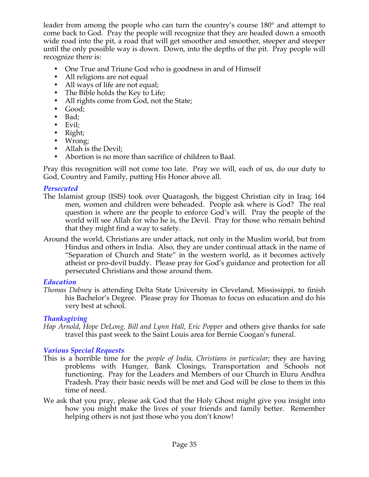leader from among the people who can turn the country's course 180° and attempt to come back to God. Pray the people will recognize that they are headed down a smooth wide road into the pit, a road that will get smoother and smoother, steeper and steeper until the only possible way is down. Down, into the depths of the pit. Pray people will recognize there is:

- One True and Triune God who is goodness in and of Himself
- All religions are not equal
- All ways of life are not equal;
- The Bible holds the Key to Life;
- All rights come from God, not the State;
- Good;
- Bad;
- Evil;
- Right;
- Wrong;
- Allah is the Devil;
- Abortion is no more than sacrifice of children to Baal.

Pray this recognition will not come too late. Pray we will, each of us, do our duty to God, Country and Family, putting His Honor above all.

### *Persecuted*

- The Islamist group (ISIS) took over Quaragosh, the biggest Christian city in Iraq; 164 men, women and children were beheaded. People ask where is God? The real question is where are the people to enforce God's will. Pray the people of the world will see Allah for who he is, the Devil. Pray for those who remain behind that they might find a way to safety.
- Around the world, Christians are under attack, not only in the Muslim world, but from Hindus and others in India. Also, they are under continual attack in the name of "Separation of Church and State" in the western world, as it becomes actively atheist or pro-devil buddy. Please pray for God's guidance and protection for all persecuted Christians and those around them.

### *Education*

*Thomas Dabney* is attending Delta State University in Cleveland, Mississippi, to finish his Bachelor's Degree. Please pray for Thomas to focus on education and do his very best at school.

# *Thanksgiving*

*Hap Arnold*, *Hope DeLong, Bill and Lynn Hall, Eric Popper* and others give thanks for safe travel this past week to the Saint Louis area for Bernie Coogan's funeral.

# *Various Special Requests*

- This is a horrible time for the *people of India, Christians in particular*; they are having problems with Hunger, Bank Closings, Transportation and Schools not functioning. Pray for the Leaders and Members of our Church in Eluru Andhra Pradesh. Pray their basic needs will be met and God will be close to them in this time of need.
- We ask that you pray, please ask God that the Holy Ghost might give you insight into how you might make the lives of your friends and family better. Remember helping others is not just those who you don't know!